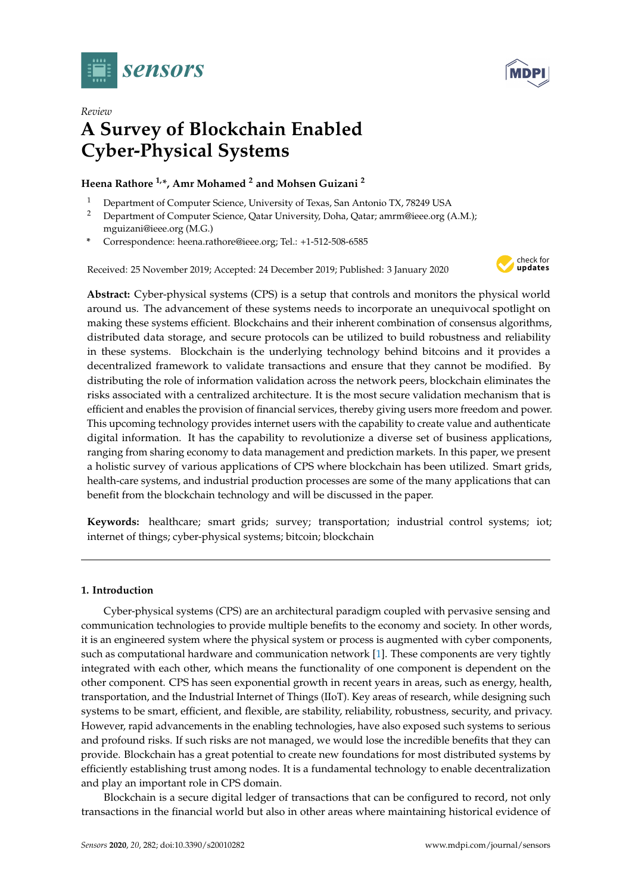



# *Review* **A Survey of Blockchain Enabled Cyber-Physical Systems**

## **Heena Rathore 1,\*, Amr Mohamed <sup>2</sup> and Mohsen Guizani <sup>2</sup>**

- <sup>1</sup> Department of Computer Science, University of Texas, San Antonio TX, 78249 USA
- <sup>2</sup> Department of Computer Science, Qatar University, Doha, Qatar; amrm@ieee.org (A.M.); mguizani@ieee.org (M.G.)
- **\*** Correspondence: heena.rathore@ieee.org; Tel.: +1-512-508-6585

Received: 25 November 2019; Accepted: 24 December 2019; Published: 3 January 2020



**Abstract:** Cyber-physical systems (CPS) is a setup that controls and monitors the physical world around us. The advancement of these systems needs to incorporate an unequivocal spotlight on making these systems efficient. Blockchains and their inherent combination of consensus algorithms, distributed data storage, and secure protocols can be utilized to build robustness and reliability in these systems. Blockchain is the underlying technology behind bitcoins and it provides a decentralized framework to validate transactions and ensure that they cannot be modified. By distributing the role of information validation across the network peers, blockchain eliminates the risks associated with a centralized architecture. It is the most secure validation mechanism that is efficient and enables the provision of financial services, thereby giving users more freedom and power. This upcoming technology provides internet users with the capability to create value and authenticate digital information. It has the capability to revolutionize a diverse set of business applications, ranging from sharing economy to data management and prediction markets. In this paper, we present a holistic survey of various applications of CPS where blockchain has been utilized. Smart grids, health-care systems, and industrial production processes are some of the many applications that can benefit from the blockchain technology and will be discussed in the paper.

**Keywords:** healthcare; smart grids; survey; transportation; industrial control systems; iot; internet of things; cyber-physical systems; bitcoin; blockchain

## **1. Introduction**

Cyber-physical systems (CPS) are an architectural paradigm coupled with pervasive sensing and communication technologies to provide multiple benefits to the economy and society. In other words, it is an engineered system where the physical system or process is augmented with cyber components, such as computational hardware and communication network [\[1\]](#page-23-0). These components are very tightly integrated with each other, which means the functionality of one component is dependent on the other component. CPS has seen exponential growth in recent years in areas, such as energy, health, transportation, and the Industrial Internet of Things (IIoT). Key areas of research, while designing such systems to be smart, efficient, and flexible, are stability, reliability, robustness, security, and privacy. However, rapid advancements in the enabling technologies, have also exposed such systems to serious and profound risks. If such risks are not managed, we would lose the incredible benefits that they can provide. Blockchain has a great potential to create new foundations for most distributed systems by efficiently establishing trust among nodes. It is a fundamental technology to enable decentralization and play an important role in CPS domain.

Blockchain is a secure digital ledger of transactions that can be configured to record, not only transactions in the financial world but also in other areas where maintaining historical evidence of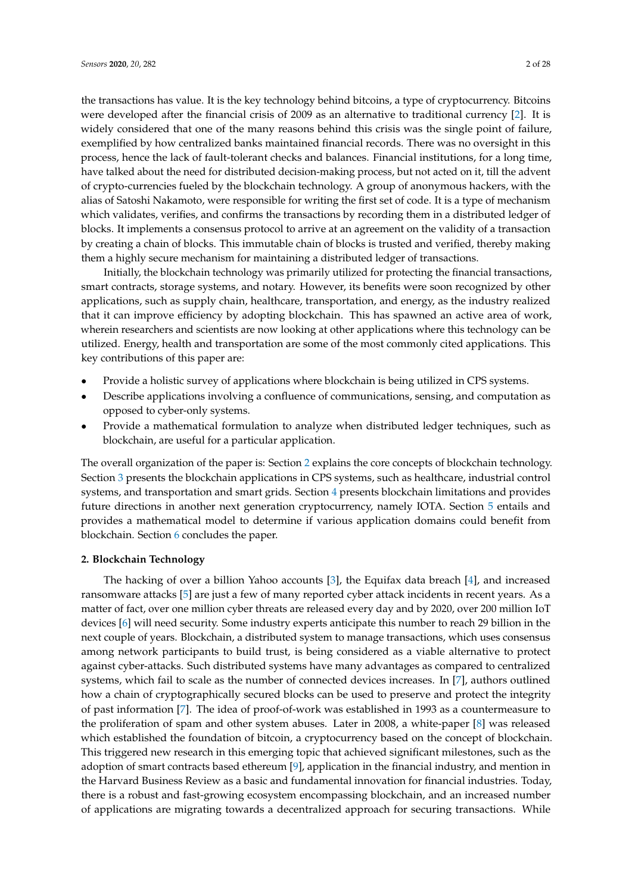the transactions has value. It is the key technology behind bitcoins, a type of cryptocurrency. Bitcoins were developed after the financial crisis of 2009 as an alternative to traditional currency [\[2\]](#page-23-1). It is widely considered that one of the many reasons behind this crisis was the single point of failure, exemplified by how centralized banks maintained financial records. There was no oversight in this process, hence the lack of fault-tolerant checks and balances. Financial institutions, for a long time, have talked about the need for distributed decision-making process, but not acted on it, till the advent of crypto-currencies fueled by the blockchain technology. A group of anonymous hackers, with the alias of Satoshi Nakamoto, were responsible for writing the first set of code. It is a type of mechanism which validates, verifies, and confirms the transactions by recording them in a distributed ledger of blocks. It implements a consensus protocol to arrive at an agreement on the validity of a transaction by creating a chain of blocks. This immutable chain of blocks is trusted and verified, thereby making them a highly secure mechanism for maintaining a distributed ledger of transactions.

Initially, the blockchain technology was primarily utilized for protecting the financial transactions, smart contracts, storage systems, and notary. However, its benefits were soon recognized by other applications, such as supply chain, healthcare, transportation, and energy, as the industry realized that it can improve efficiency by adopting blockchain. This has spawned an active area of work, wherein researchers and scientists are now looking at other applications where this technology can be utilized. Energy, health and transportation are some of the most commonly cited applications. This key contributions of this paper are:

- Provide a holistic survey of applications where blockchain is being utilized in CPS systems.
- Describe applications involving a confluence of communications, sensing, and computation as opposed to cyber-only systems.
- Provide a mathematical formulation to analyze when distributed ledger techniques, such as blockchain, are useful for a particular application.

The overall organization of the paper is: Section [2](#page-1-0) explains the core concepts of blockchain technology. Section [3](#page-6-0) presents the blockchain applications in CPS systems, such as healthcare, industrial control systems, and transportation and smart grids. Section [4](#page-16-0) presents blockchain limitations and provides future directions in another next generation cryptocurrency, namely IOTA. Section [5](#page-19-0) entails and provides a mathematical model to determine if various application domains could benefit from blockchain. Section [6](#page-22-0) concludes the paper.

#### <span id="page-1-0"></span>**2. Blockchain Technology**

The hacking of over a billion Yahoo accounts [\[3\]](#page-23-2), the Equifax data breach [\[4\]](#page-23-3), and increased ransomware attacks [\[5\]](#page-23-4) are just a few of many reported cyber attack incidents in recent years. As a matter of fact, over one million cyber threats are released every day and by 2020, over 200 million IoT devices [\[6\]](#page-23-5) will need security. Some industry experts anticipate this number to reach 29 billion in the next couple of years. Blockchain, a distributed system to manage transactions, which uses consensus among network participants to build trust, is being considered as a viable alternative to protect against cyber-attacks. Such distributed systems have many advantages as compared to centralized systems, which fail to scale as the number of connected devices increases. In [\[7\]](#page-23-6), authors outlined how a chain of cryptographically secured blocks can be used to preserve and protect the integrity of past information [\[7\]](#page-23-6). The idea of proof-of-work was established in 1993 as a countermeasure to the proliferation of spam and other system abuses. Later in 2008, a white-paper [\[8\]](#page-23-7) was released which established the foundation of bitcoin, a cryptocurrency based on the concept of blockchain. This triggered new research in this emerging topic that achieved significant milestones, such as the adoption of smart contracts based ethereum [\[9\]](#page-23-8), application in the financial industry, and mention in the Harvard Business Review as a basic and fundamental innovation for financial industries. Today, there is a robust and fast-growing ecosystem encompassing blockchain, and an increased number of applications are migrating towards a decentralized approach for securing transactions. While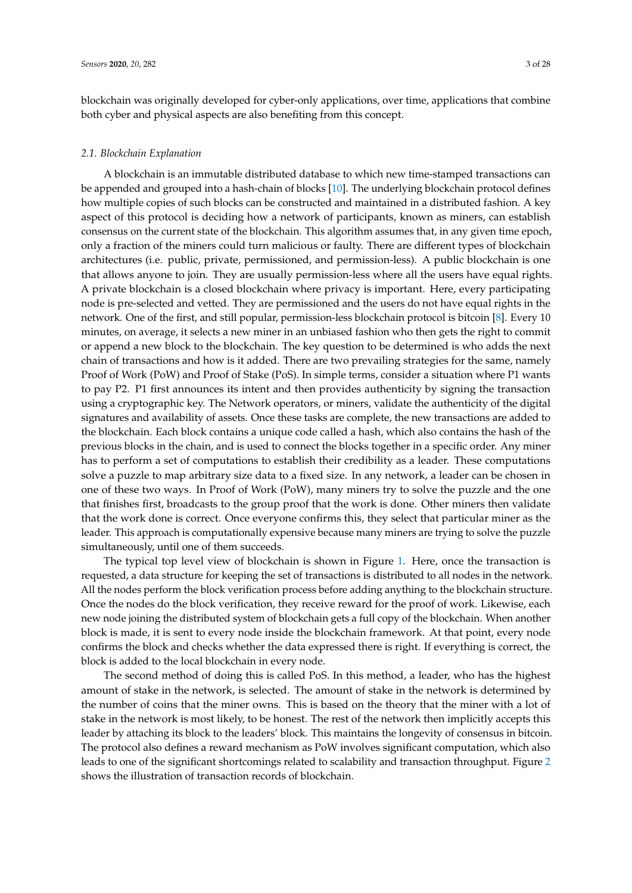blockchain was originally developed for cyber-only applications, over time, applications that combine both cyber and physical aspects are also benefiting from this concept.

## *2.1. Blockchain Explanation*

A blockchain is an immutable distributed database to which new time-stamped transactions can be appended and grouped into a hash-chain of blocks [\[10\]](#page-23-9). The underlying blockchain protocol defines how multiple copies of such blocks can be constructed and maintained in a distributed fashion. A key aspect of this protocol is deciding how a network of participants, known as miners, can establish consensus on the current state of the blockchain. This algorithm assumes that, in any given time epoch, only a fraction of the miners could turn malicious or faulty. There are different types of blockchain architectures (i.e. public, private, permissioned, and permission-less). A public blockchain is one that allows anyone to join. They are usually permission-less where all the users have equal rights. A private blockchain is a closed blockchain where privacy is important. Here, every participating node is pre-selected and vetted. They are permissioned and the users do not have equal rights in the network. One of the first, and still popular, permission-less blockchain protocol is bitcoin [\[8\]](#page-23-7). Every 10 minutes, on average, it selects a new miner in an unbiased fashion who then gets the right to commit or append a new block to the blockchain. The key question to be determined is who adds the next chain of transactions and how is it added. There are two prevailing strategies for the same, namely Proof of Work (PoW) and Proof of Stake (PoS). In simple terms, consider a situation where P1 wants to pay P2. P1 first announces its intent and then provides authenticity by signing the transaction using a cryptographic key. The Network operators, or miners, validate the authenticity of the digital signatures and availability of assets. Once these tasks are complete, the new transactions are added to the blockchain. Each block contains a unique code called a hash, which also contains the hash of the previous blocks in the chain, and is used to connect the blocks together in a specific order. Any miner has to perform a set of computations to establish their credibility as a leader. These computations solve a puzzle to map arbitrary size data to a fixed size. In any network, a leader can be chosen in one of these two ways. In Proof of Work (PoW), many miners try to solve the puzzle and the one that finishes first, broadcasts to the group proof that the work is done. Other miners then validate that the work done is correct. Once everyone confirms this, they select that particular miner as the leader. This approach is computationally expensive because many miners are trying to solve the puzzle simultaneously, until one of them succeeds.

The typical top level view of blockchain is shown in Figure [1.](#page-3-0) Here, once the transaction is requested, a data structure for keeping the set of transactions is distributed to all nodes in the network. All the nodes perform the block verification process before adding anything to the blockchain structure. Once the nodes do the block verification, they receive reward for the proof of work. Likewise, each new node joining the distributed system of blockchain gets a full copy of the blockchain. When another block is made, it is sent to every node inside the blockchain framework. At that point, every node confirms the block and checks whether the data expressed there is right. If everything is correct, the block is added to the local blockchain in every node.

The second method of doing this is called PoS. In this method, a leader, who has the highest amount of stake in the network, is selected. The amount of stake in the network is determined by the number of coins that the miner owns. This is based on the theory that the miner with a lot of stake in the network is most likely, to be honest. The rest of the network then implicitly accepts this leader by attaching its block to the leaders' block. This maintains the longevity of consensus in bitcoin. The protocol also defines a reward mechanism as PoW involves significant computation, which also leads to one of the significant shortcomings related to scalability and transaction throughput. Figure [2](#page-3-1) shows the illustration of transaction records of blockchain.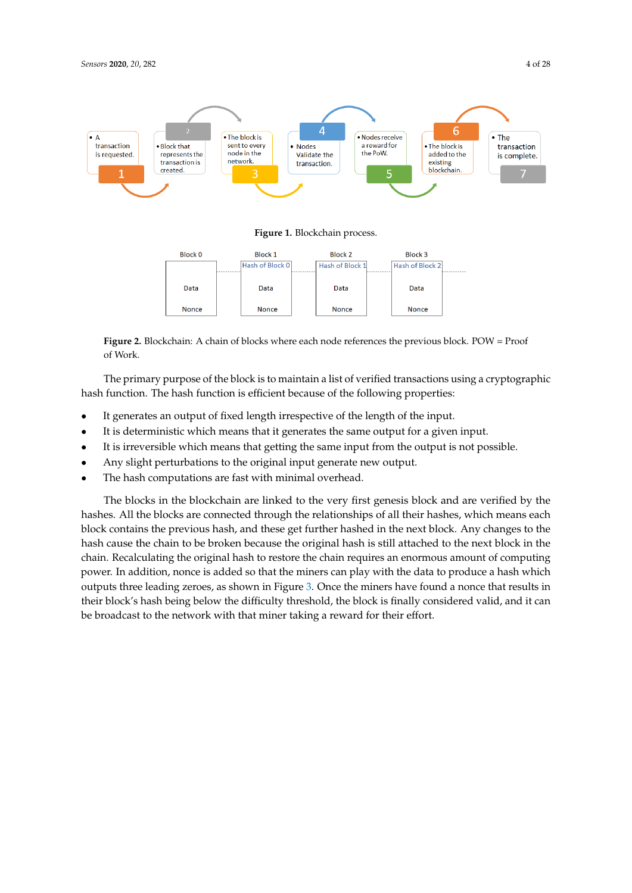<span id="page-3-0"></span>

**Figure 1.** Blockchain process.

<span id="page-3-1"></span>

**Figure 2.** Blockchain: A chain of blocks where each node references the previous block. POW = Proof of Work.

The primary purpose of the block is to maintain a list of verified transactions using a cryptographic hash function. The hash function is efficient because of the following properties:

- It generates an output of fixed length irrespective of the length of the input.
- It is deterministic which means that it generates the same output for a given input.
- It is irreversible which means that getting the same input from the output is not possible.
- Any slight perturbations to the original input generate new output.
- The hash computations are fast with minimal overhead.

The blocks in the blockchain are linked to the very first genesis block and are verified by the hashes. All the blocks are connected through the relationships of all their hashes, which means each block contains the previous hash, and these get further hashed in the next block. Any changes to the hash cause the chain to be broken because the original hash is still attached to the next block in the chain. Recalculating the original hash to restore the chain requires an enormous amount of computing power. In addition, nonce is added so that the miners can play with the data to produce a hash which outputs three leading zeroes, as shown in Figure [3.](#page-4-0) Once the miners have found a nonce that results in their block's hash being below the difficulty threshold, the block is finally considered valid, and it can be broadcast to the network with that miner taking a reward for their effort.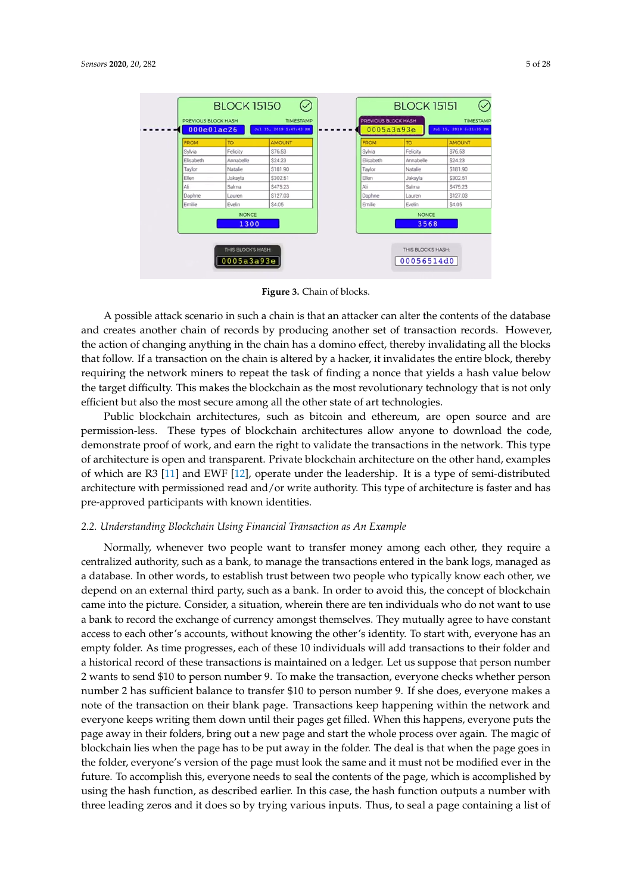<span id="page-4-0"></span>

| <b>FROM</b> | <b>TO</b>            | <b>AMOUNT</b> | <b>FROM</b> | TO                   | <b>AMOUNT</b> |
|-------------|----------------------|---------------|-------------|----------------------|---------------|
| Sylvia      | Felicity             | S76.53        | Sylvia      | Felicity             | S76.53        |
| Elisabeth   | Annabelle            | \$24.23       | Elisabeth   | Annabelle            | \$24.23       |
| Taylor      | Natalie              | \$181.90      | Taylor      | Natalie              | \$181.90      |
| Ellen       | Jakavla              | \$302.51      | Ellen       | Jakavla              | \$302.51      |
| Ali         | Salma                | S475.23       | Ali         | Salma                | S475.23       |
| Daphne      | Lauren               | \$127.03      | Daphne      | Lauren               | \$127.03      |
| Emilie      | Evelin               | S4.05         | Emilie      | Evelin               | S4.05         |
|             | <b>NONCE</b><br>1300 |               |             | <b>NONCE</b><br>3568 |               |



A possible attack scenario in such a chain is that an attacker can alter the contents of the database and creates another chain of records by producing another set of transaction records. However, the action of changing anything in the chain has a domino effect, thereby invalidating all the blocks that follow. If a transaction on the chain is altered by a hacker, it invalidates the entire block, thereby requiring the network miners to repeat the task of finding a nonce that yields a hash value below the target difficulty. This makes the blockchain as the most revolutionary technology that is not only efficient but also the most secure among all the other state of art technologies.

Public blockchain architectures, such as bitcoin and ethereum, are open source and are permission-less. These types of blockchain architectures allow anyone to download the code, demonstrate proof of work, and earn the right to validate the transactions in the network. This type of architecture is open and transparent. Private blockchain architecture on the other hand, examples of which are R3 [\[11\]](#page-23-10) and EWF [\[12\]](#page-23-11), operate under the leadership. It is a type of semi-distributed architecture with permissioned read and/or write authority. This type of architecture is faster and has pre-approved participants with known identities.

## *2.2. Understanding Blockchain Using Financial Transaction as An Example*

Normally, whenever two people want to transfer money among each other, they require a centralized authority, such as a bank, to manage the transactions entered in the bank logs, managed as a database. In other words, to establish trust between two people who typically know each other, we depend on an external third party, such as a bank. In order to avoid this, the concept of blockchain came into the picture. Consider, a situation, wherein there are ten individuals who do not want to use a bank to record the exchange of currency amongst themselves. They mutually agree to have constant access to each other's accounts, without knowing the other's identity. To start with, everyone has an empty folder. As time progresses, each of these 10 individuals will add transactions to their folder and a historical record of these transactions is maintained on a ledger. Let us suppose that person number 2 wants to send \$10 to person number 9. To make the transaction, everyone checks whether person number 2 has sufficient balance to transfer \$10 to person number 9. If she does, everyone makes a note of the transaction on their blank page. Transactions keep happening within the network and everyone keeps writing them down until their pages get filled. When this happens, everyone puts the page away in their folders, bring out a new page and start the whole process over again. The magic of blockchain lies when the page has to be put away in the folder. The deal is that when the page goes in the folder, everyone's version of the page must look the same and it must not be modified ever in the future. To accomplish this, everyone needs to seal the contents of the page, which is accomplished by using the hash function, as described earlier. In this case, the hash function outputs a number with three leading zeros and it does so by trying various inputs. Thus, to seal a page containing a list of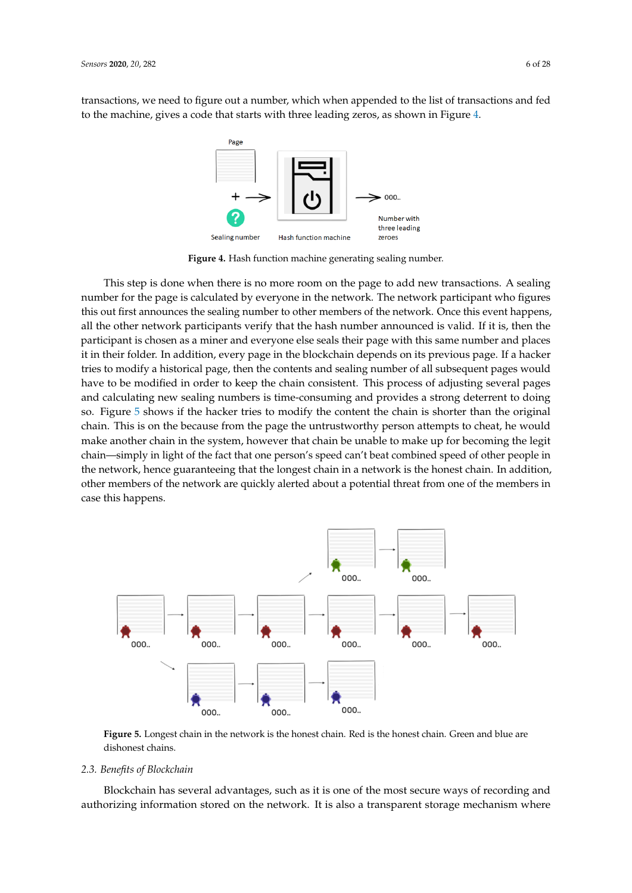<span id="page-5-0"></span>transactions, we need to figure out a number, which when appended to the list of transactions and fed to the machine, gives a code that starts with three leading zeros, as shown in Figure [4.](#page-5-0)



**Figure 4.** Hash function machine generating sealing number.

This step is done when there is no more room on the page to add new transactions. A sealing number for the page is calculated by everyone in the network. The network participant who figures this out first announces the sealing number to other members of the network. Once this event happens, all the other network participants verify that the hash number announced is valid. If it is, then the participant is chosen as a miner and everyone else seals their page with this same number and places it in their folder. In addition, every page in the blockchain depends on its previous page. If a hacker tries to modify a historical page, then the contents and sealing number of all subsequent pages would have to be modified in order to keep the chain consistent. This process of adjusting several pages and calculating new sealing numbers is time-consuming and provides a strong deterrent to doing so. Figure [5](#page-5-1) shows if the hacker tries to modify the content the chain is shorter than the original chain. This is on the because from the page the untrustworthy person attempts to cheat, he would make another chain in the system, however that chain be unable to make up for becoming the legit chain—simply in light of the fact that one person's speed can't beat combined speed of other people in the network, hence guaranteeing that the longest chain in a network is the honest chain. In addition, other members of the network are quickly alerted about a potential threat from one of the members in case this happens.

<span id="page-5-1"></span>

**Figure 5.** Longest chain in the network is the honest chain. Red is the honest chain. Green and blue are dishonest chains.

## *2.3. Benefits of Blockchain*

Blockchain has several advantages, such as it is one of the most secure ways of recording and authorizing information stored on the network. It is also a transparent storage mechanism where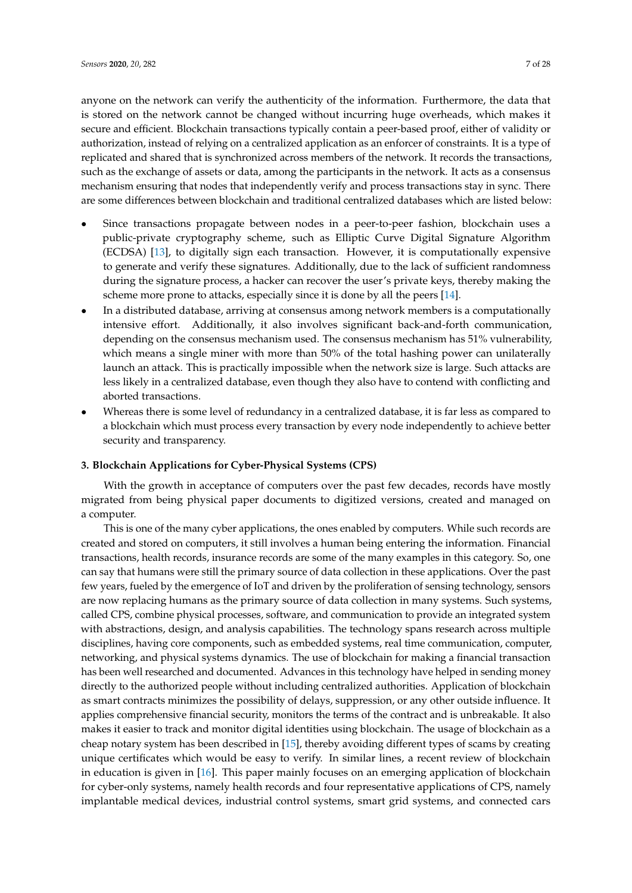secure and efficient. Blockchain transactions typically contain a peer-based proof, either of validity or authorization, instead of relying on a centralized application as an enforcer of constraints. It is a type of replicated and shared that is synchronized across members of the network. It records the transactions, such as the exchange of assets or data, among the participants in the network. It acts as a consensus mechanism ensuring that nodes that independently verify and process transactions stay in sync. There are some differences between blockchain and traditional centralized databases which are listed below:

- Since transactions propagate between nodes in a peer-to-peer fashion, blockchain uses a public-private cryptography scheme, such as Elliptic Curve Digital Signature Algorithm (ECDSA) [\[13\]](#page-23-12), to digitally sign each transaction. However, it is computationally expensive to generate and verify these signatures. Additionally, due to the lack of sufficient randomness during the signature process, a hacker can recover the user's private keys, thereby making the scheme more prone to attacks, especially since it is done by all the peers [\[14\]](#page-23-13).
- In a distributed database, arriving at consensus among network members is a computationally intensive effort. Additionally, it also involves significant back-and-forth communication, depending on the consensus mechanism used. The consensus mechanism has 51% vulnerability, which means a single miner with more than 50% of the total hashing power can unilaterally launch an attack. This is practically impossible when the network size is large. Such attacks are less likely in a centralized database, even though they also have to contend with conflicting and aborted transactions.
- Whereas there is some level of redundancy in a centralized database, it is far less as compared to a blockchain which must process every transaction by every node independently to achieve better security and transparency.

## <span id="page-6-0"></span>**3. Blockchain Applications for Cyber-Physical Systems (CPS)**

With the growth in acceptance of computers over the past few decades, records have mostly migrated from being physical paper documents to digitized versions, created and managed on a computer.

This is one of the many cyber applications, the ones enabled by computers. While such records are created and stored on computers, it still involves a human being entering the information. Financial transactions, health records, insurance records are some of the many examples in this category. So, one can say that humans were still the primary source of data collection in these applications. Over the past few years, fueled by the emergence of IoT and driven by the proliferation of sensing technology, sensors are now replacing humans as the primary source of data collection in many systems. Such systems, called CPS, combine physical processes, software, and communication to provide an integrated system with abstractions, design, and analysis capabilities. The technology spans research across multiple disciplines, having core components, such as embedded systems, real time communication, computer, networking, and physical systems dynamics. The use of blockchain for making a financial transaction has been well researched and documented. Advances in this technology have helped in sending money directly to the authorized people without including centralized authorities. Application of blockchain as smart contracts minimizes the possibility of delays, suppression, or any other outside influence. It applies comprehensive financial security, monitors the terms of the contract and is unbreakable. It also makes it easier to track and monitor digital identities using blockchain. The usage of blockchain as a cheap notary system has been described in [\[15\]](#page-23-14), thereby avoiding different types of scams by creating unique certificates which would be easy to verify. In similar lines, a recent review of blockchain in education is given in [\[16\]](#page-23-15). This paper mainly focuses on an emerging application of blockchain for cyber-only systems, namely health records and four representative applications of CPS, namely implantable medical devices, industrial control systems, smart grid systems, and connected cars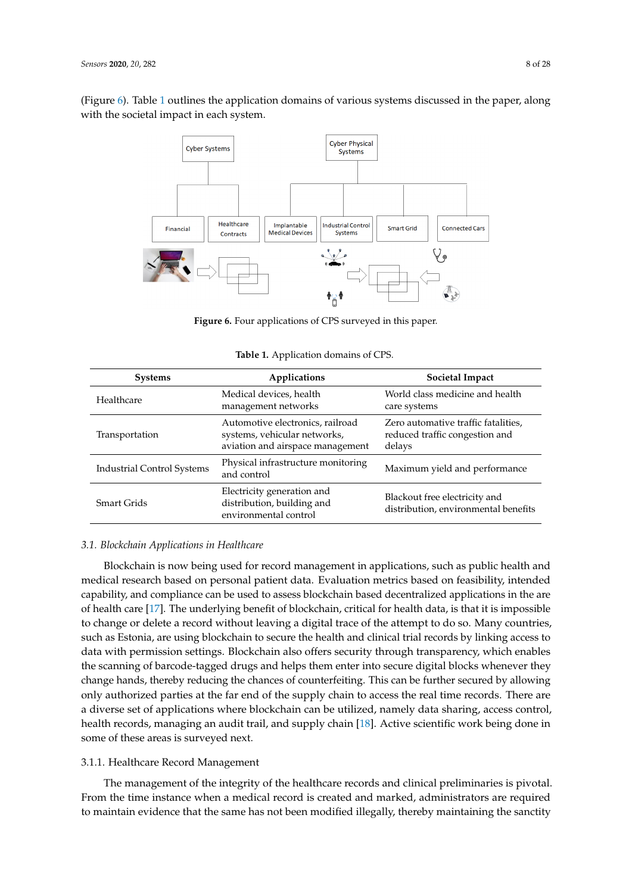<span id="page-7-0"></span>(Figure [6\)](#page-7-0). Table [1](#page-7-1) outlines the application domains of various systems discussed in the paper, along with the societal impact in each system.



**Figure 6.** Four applications of CPS surveyed in this paper.

<span id="page-7-1"></span>

| <b>Systems</b>             | Applications                                                                                         | Societal Impact                                                                 |
|----------------------------|------------------------------------------------------------------------------------------------------|---------------------------------------------------------------------------------|
| Healthcare                 | Medical devices, health<br>management networks                                                       | World class medicine and health<br>care systems                                 |
| Transportation             | Automotive electronics, railroad<br>systems, vehicular networks,<br>aviation and airspace management | Zero automative traffic fatalities,<br>reduced traffic congestion and<br>delays |
| Industrial Control Systems | Physical infrastructure monitoring<br>and control                                                    | Maximum yield and performance                                                   |
| Smart Grids                | Electricity generation and<br>distribution, building and<br>environmental control                    | Blackout free electricity and<br>distribution, environmental benefits           |

**Table 1.** Application domains of CPS.

## *3.1. Blockchain Applications in Healthcare*

Blockchain is now being used for record management in applications, such as public health and medical research based on personal patient data. Evaluation metrics based on feasibility, intended capability, and compliance can be used to assess blockchain based decentralized applications in the are of health care [\[17\]](#page-23-16). The underlying benefit of blockchain, critical for health data, is that it is impossible to change or delete a record without leaving a digital trace of the attempt to do so. Many countries, such as Estonia, are using blockchain to secure the health and clinical trial records by linking access to data with permission settings. Blockchain also offers security through transparency, which enables the scanning of barcode-tagged drugs and helps them enter into secure digital blocks whenever they change hands, thereby reducing the chances of counterfeiting. This can be further secured by allowing only authorized parties at the far end of the supply chain to access the real time records. There are a diverse set of applications where blockchain can be utilized, namely data sharing, access control, health records, managing an audit trail, and supply chain [\[18\]](#page-23-17). Active scientific work being done in some of these areas is surveyed next.

## 3.1.1. Healthcare Record Management

The management of the integrity of the healthcare records and clinical preliminaries is pivotal. From the time instance when a medical record is created and marked, administrators are required to maintain evidence that the same has not been modified illegally, thereby maintaining the sanctity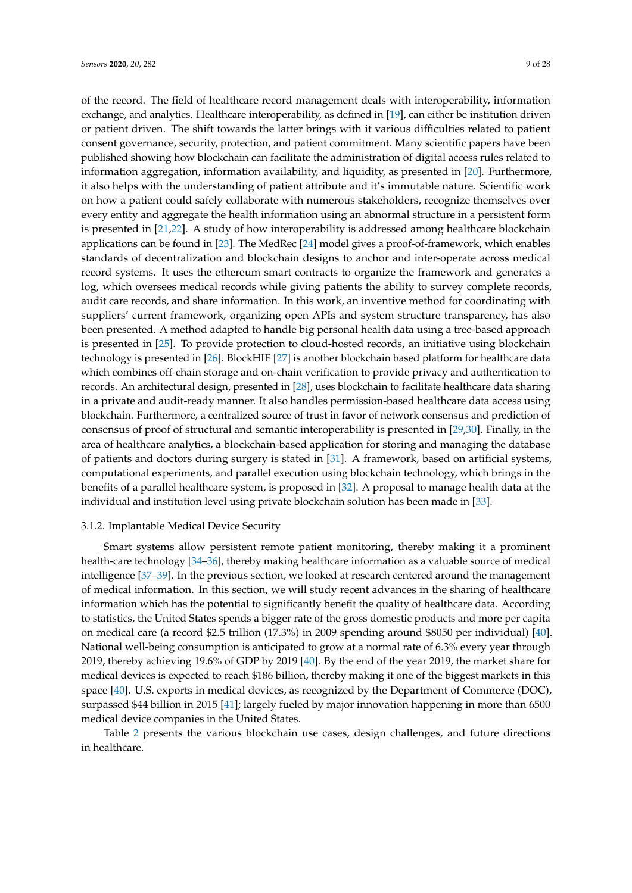of the record. The field of healthcare record management deals with interoperability, information exchange, and analytics. Healthcare interoperability, as defined in [\[19\]](#page-23-18), can either be institution driven or patient driven. The shift towards the latter brings with it various difficulties related to patient consent governance, security, protection, and patient commitment. Many scientific papers have been published showing how blockchain can facilitate the administration of digital access rules related to information aggregation, information availability, and liquidity, as presented in [\[20\]](#page-23-19). Furthermore, it also helps with the understanding of patient attribute and it's immutable nature. Scientific work on how a patient could safely collaborate with numerous stakeholders, recognize themselves over every entity and aggregate the health information using an abnormal structure in a persistent form is presented in [\[21](#page-23-20)[,22\]](#page-24-0). A study of how interoperability is addressed among healthcare blockchain applications can be found in [\[23\]](#page-24-1). The MedRec [\[24\]](#page-24-2) model gives a proof-of-framework, which enables standards of decentralization and blockchain designs to anchor and inter-operate across medical record systems. It uses the ethereum smart contracts to organize the framework and generates a log, which oversees medical records while giving patients the ability to survey complete records, audit care records, and share information. In this work, an inventive method for coordinating with suppliers' current framework, organizing open APIs and system structure transparency, has also been presented. A method adapted to handle big personal health data using a tree-based approach is presented in [\[25\]](#page-24-3). To provide protection to cloud-hosted records, an initiative using blockchain technology is presented in [\[26\]](#page-24-4). BlockHIE [\[27\]](#page-24-5) is another blockchain based platform for healthcare data which combines off-chain storage and on-chain verification to provide privacy and authentication to records. An architectural design, presented in [\[28\]](#page-24-6), uses blockchain to facilitate healthcare data sharing in a private and audit-ready manner. It also handles permission-based healthcare data access using blockchain. Furthermore, a centralized source of trust in favor of network consensus and prediction of consensus of proof of structural and semantic interoperability is presented in [\[29,](#page-24-7)[30\]](#page-24-8). Finally, in the area of healthcare analytics, a blockchain-based application for storing and managing the database of patients and doctors during surgery is stated in [\[31\]](#page-24-9). A framework, based on artificial systems, computational experiments, and parallel execution using blockchain technology, which brings in the benefits of a parallel healthcare system, is proposed in [\[32\]](#page-24-10). A proposal to manage health data at the individual and institution level using private blockchain solution has been made in [\[33\]](#page-24-11).

## 3.1.2. Implantable Medical Device Security

Smart systems allow persistent remote patient monitoring, thereby making it a prominent health-care technology [\[34](#page-24-12)[–36\]](#page-24-13), thereby making healthcare information as a valuable source of medical intelligence [\[37](#page-24-14)[–39\]](#page-24-15). In the previous section, we looked at research centered around the management of medical information. In this section, we will study recent advances in the sharing of healthcare information which has the potential to significantly benefit the quality of healthcare data. According to statistics, the United States spends a bigger rate of the gross domestic products and more per capita on medical care (a record \$2.5 trillion (17.3%) in 2009 spending around \$8050 per individual) [\[40\]](#page-24-16). National well-being consumption is anticipated to grow at a normal rate of 6.3% every year through 2019, thereby achieving 19.6% of GDP by 2019 [\[40\]](#page-24-16). By the end of the year 2019, the market share for medical devices is expected to reach \$186 billion, thereby making it one of the biggest markets in this space [\[40\]](#page-24-16). U.S. exports in medical devices, as recognized by the Department of Commerce (DOC), surpassed \$44 billion in 2015 [\[41\]](#page-25-0); largely fueled by major innovation happening in more than 6500 medical device companies in the United States.

Table [2](#page-9-0) presents the various blockchain use cases, design challenges, and future directions in healthcare.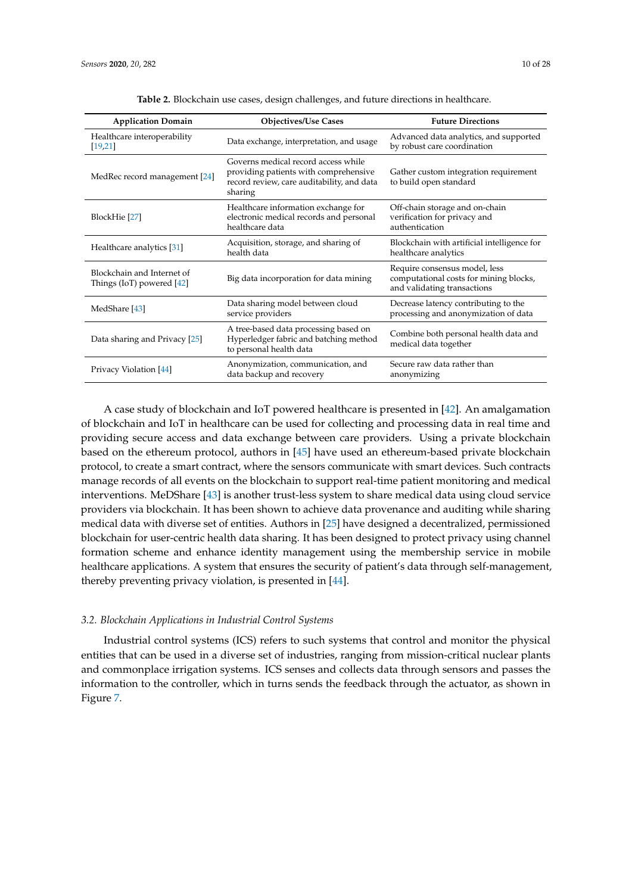<span id="page-9-0"></span>

| <b>Application Domain</b>                                 | <b>Objectives/Use Cases</b>                                                                                                           | <b>Future Directions</b>                                                                               |
|-----------------------------------------------------------|---------------------------------------------------------------------------------------------------------------------------------------|--------------------------------------------------------------------------------------------------------|
| Healthcare interoperability<br>[19,21]                    | Data exchange, interpretation, and usage                                                                                              | Advanced data analytics, and supported<br>by robust care coordination                                  |
| MedRec record management [24]                             | Governs medical record access while<br>providing patients with comprehensive<br>record review, care auditability, and data<br>sharing | Gather custom integration requirement<br>to build open standard                                        |
| BlockHie [27]                                             | Healthcare information exchange for<br>electronic medical records and personal<br>healthcare data                                     | Off-chain storage and on-chain<br>verification for privacy and<br>authentication                       |
| Healthcare analytics [31]                                 | Acquisition, storage, and sharing of<br>health data                                                                                   | Blockchain with artificial intelligence for<br>healthcare analytics                                    |
| Blockchain and Internet of<br>Things (IoT) powered $[42]$ | Big data incorporation for data mining                                                                                                | Require consensus model, less<br>computational costs for mining blocks,<br>and validating transactions |
| MedShare [43]                                             | Data sharing model between cloud<br>service providers                                                                                 | Decrease latency contributing to the<br>processing and anonymization of data                           |
| Data sharing and Privacy [25]                             | A tree-based data processing based on<br>Hyperledger fabric and batching method<br>to personal health data                            | Combine both personal health data and<br>medical data together                                         |
| Privacy Violation [44]                                    | Anonymization, communication, and<br>data backup and recovery                                                                         | Secure raw data rather than<br>anonymizing                                                             |

**Table 2.** Blockchain use cases, design challenges, and future directions in healthcare.

A case study of blockchain and IoT powered healthcare is presented in [\[42\]](#page-25-1). An amalgamation of blockchain and IoT in healthcare can be used for collecting and processing data in real time and providing secure access and data exchange between care providers. Using a private blockchain based on the ethereum protocol, authors in [\[45\]](#page-25-4) have used an ethereum-based private blockchain protocol, to create a smart contract, where the sensors communicate with smart devices. Such contracts manage records of all events on the blockchain to support real-time patient monitoring and medical interventions. MeDShare [\[43\]](#page-25-2) is another trust-less system to share medical data using cloud service providers via blockchain. It has been shown to achieve data provenance and auditing while sharing medical data with diverse set of entities. Authors in [\[25\]](#page-24-3) have designed a decentralized, permissioned blockchain for user-centric health data sharing. It has been designed to protect privacy using channel formation scheme and enhance identity management using the membership service in mobile healthcare applications. A system that ensures the security of patient's data through self-management, thereby preventing privacy violation, is presented in [\[44\]](#page-25-3).

## *3.2. Blockchain Applications in Industrial Control Systems*

Industrial control systems (ICS) refers to such systems that control and monitor the physical entities that can be used in a diverse set of industries, ranging from mission-critical nuclear plants and commonplace irrigation systems. ICS senses and collects data through sensors and passes the information to the controller, which in turns sends the feedback through the actuator, as shown in Figure [7.](#page-10-0)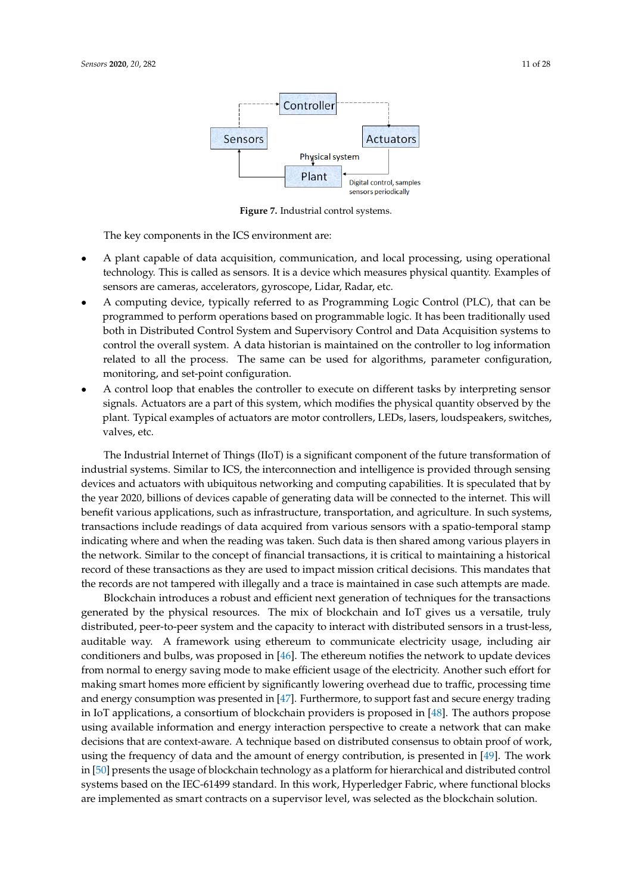<span id="page-10-0"></span>

**Figure 7.** Industrial control systems.

The key components in the ICS environment are:

- A plant capable of data acquisition, communication, and local processing, using operational technology. This is called as sensors. It is a device which measures physical quantity. Examples of sensors are cameras, accelerators, gyroscope, Lidar, Radar, etc.
- A computing device, typically referred to as Programming Logic Control (PLC), that can be programmed to perform operations based on programmable logic. It has been traditionally used both in Distributed Control System and Supervisory Control and Data Acquisition systems to control the overall system. A data historian is maintained on the controller to log information related to all the process. The same can be used for algorithms, parameter configuration, monitoring, and set-point configuration.
- A control loop that enables the controller to execute on different tasks by interpreting sensor signals. Actuators are a part of this system, which modifies the physical quantity observed by the plant. Typical examples of actuators are motor controllers, LEDs, lasers, loudspeakers, switches, valves, etc.

The Industrial Internet of Things (IIoT) is a significant component of the future transformation of industrial systems. Similar to ICS, the interconnection and intelligence is provided through sensing devices and actuators with ubiquitous networking and computing capabilities. It is speculated that by the year 2020, billions of devices capable of generating data will be connected to the internet. This will benefit various applications, such as infrastructure, transportation, and agriculture. In such systems, transactions include readings of data acquired from various sensors with a spatio-temporal stamp indicating where and when the reading was taken. Such data is then shared among various players in the network. Similar to the concept of financial transactions, it is critical to maintaining a historical record of these transactions as they are used to impact mission critical decisions. This mandates that the records are not tampered with illegally and a trace is maintained in case such attempts are made.

Blockchain introduces a robust and efficient next generation of techniques for the transactions generated by the physical resources. The mix of blockchain and IoT gives us a versatile, truly distributed, peer-to-peer system and the capacity to interact with distributed sensors in a trust-less, auditable way. A framework using ethereum to communicate electricity usage, including air conditioners and bulbs, was proposed in [\[46\]](#page-25-5). The ethereum notifies the network to update devices from normal to energy saving mode to make efficient usage of the electricity. Another such effort for making smart homes more efficient by significantly lowering overhead due to traffic, processing time and energy consumption was presented in [\[47\]](#page-25-6). Furthermore, to support fast and secure energy trading in IoT applications, a consortium of blockchain providers is proposed in [\[48\]](#page-25-7). The authors propose using available information and energy interaction perspective to create a network that can make decisions that are context-aware. A technique based on distributed consensus to obtain proof of work, using the frequency of data and the amount of energy contribution, is presented in [\[49\]](#page-25-8). The work in [\[50\]](#page-25-9) presents the usage of blockchain technology as a platform for hierarchical and distributed control systems based on the IEC-61499 standard. In this work, Hyperledger Fabric, where functional blocks are implemented as smart contracts on a supervisor level, was selected as the blockchain solution.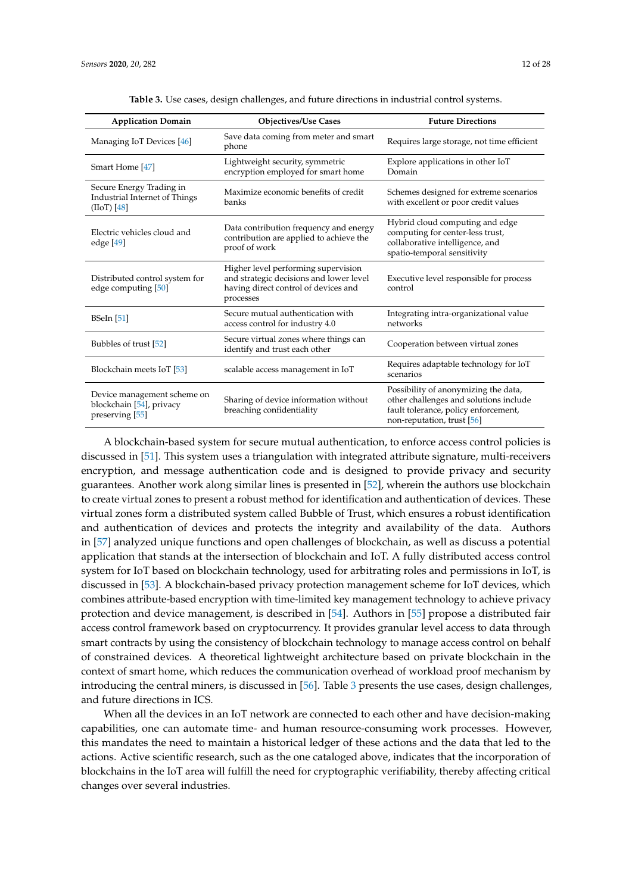<span id="page-11-0"></span>

| <b>Application Domain</b>                                                  | <b>Objectives/Use Cases</b>                                                                                                         | <b>Future Directions</b>                                                                                                                             |
|----------------------------------------------------------------------------|-------------------------------------------------------------------------------------------------------------------------------------|------------------------------------------------------------------------------------------------------------------------------------------------------|
| Managing IoT Devices [46]                                                  | Save data coming from meter and smart<br>phone                                                                                      | Requires large storage, not time efficient                                                                                                           |
| Smart Home [47]                                                            | Lightweight security, symmetric<br>encryption employed for smart home                                                               | Explore applications in other IoT<br>Domain                                                                                                          |
| Secure Energy Trading in<br>Industrial Internet of Things<br>$(IIoT)$ [48] | Maximize economic benefits of credit<br>banks                                                                                       | Schemes designed for extreme scenarios<br>with excellent or poor credit values                                                                       |
| Electric vehicles cloud and<br>edge [49]                                   | Data contribution frequency and energy<br>contribution are applied to achieve the<br>proof of work                                  | Hybrid cloud computing and edge<br>computing for center-less trust,<br>collaborative intelligence, and<br>spatio-temporal sensitivity                |
| Distributed control system for<br>edge computing [50]                      | Higher level performing supervision<br>and strategic decisions and lower level<br>having direct control of devices and<br>processes | Executive level responsible for process<br>control                                                                                                   |
| <b>BSeIn</b> [51]                                                          | Secure mutual authentication with<br>access control for industry 4.0                                                                | Integrating intra-organizational value<br>networks                                                                                                   |
| Bubbles of trust [52]                                                      | Secure virtual zones where things can<br>identify and trust each other                                                              | Cooperation between virtual zones                                                                                                                    |
| Blockchain meets IoT [53]                                                  | scalable access management in IoT                                                                                                   | Requires adaptable technology for IoT<br>scenarios                                                                                                   |
| Device management scheme on<br>blockchain [54], privacy<br>preserving [55] | Sharing of device information without<br>breaching confidentiality                                                                  | Possibility of anonymizing the data,<br>other challenges and solutions include<br>fault tolerance, policy enforcement,<br>non-reputation, trust [56] |

**Table 3.** Use cases, design challenges, and future directions in industrial control systems.

A blockchain-based system for secure mutual authentication, to enforce access control policies is discussed in [\[51\]](#page-25-10). This system uses a triangulation with integrated attribute signature, multi-receivers encryption, and message authentication code and is designed to provide privacy and security guarantees. Another work along similar lines is presented in [\[52\]](#page-25-11), wherein the authors use blockchain to create virtual zones to present a robust method for identification and authentication of devices. These virtual zones form a distributed system called Bubble of Trust, which ensures a robust identification and authentication of devices and protects the integrity and availability of the data. Authors in [\[57\]](#page-25-16) analyzed unique functions and open challenges of blockchain, as well as discuss a potential application that stands at the intersection of blockchain and IoT. A fully distributed access control system for IoT based on blockchain technology, used for arbitrating roles and permissions in IoT, is discussed in [\[53\]](#page-25-12). A blockchain-based privacy protection management scheme for IoT devices, which combines attribute-based encryption with time-limited key management technology to achieve privacy protection and device management, is described in [\[54\]](#page-25-13). Authors in [\[55\]](#page-25-14) propose a distributed fair access control framework based on cryptocurrency. It provides granular level access to data through smart contracts by using the consistency of blockchain technology to manage access control on behalf of constrained devices. A theoretical lightweight architecture based on private blockchain in the context of smart home, which reduces the communication overhead of workload proof mechanism by introducing the central miners, is discussed in [\[56\]](#page-25-15). Table [3](#page-11-0) presents the use cases, design challenges, and future directions in ICS.

When all the devices in an IoT network are connected to each other and have decision-making capabilities, one can automate time- and human resource-consuming work processes. However, this mandates the need to maintain a historical ledger of these actions and the data that led to the actions. Active scientific research, such as the one cataloged above, indicates that the incorporation of blockchains in the IoT area will fulfill the need for cryptographic verifiability, thereby affecting critical changes over several industries.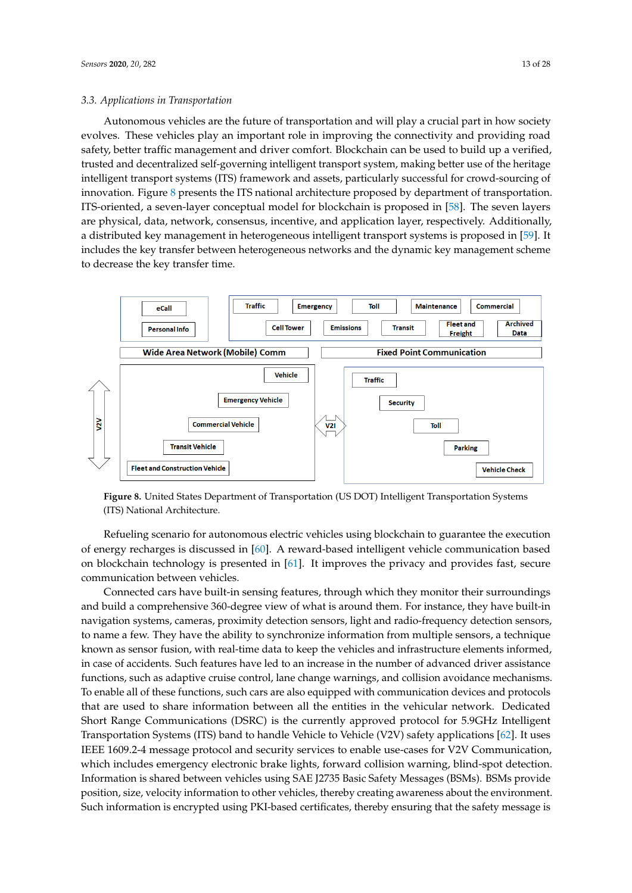Autonomous vehicles are the future of transportation and will play a crucial part in how society evolves. These vehicles play an important role in improving the connectivity and providing road safety, better traffic management and driver comfort. Blockchain can be used to build up a verified, trusted and decentralized self-governing intelligent transport system, making better use of the heritage intelligent transport systems (ITS) framework and assets, particularly successful for crowd-sourcing of innovation. Figure [8](#page-12-0) presents the ITS national architecture proposed by department of transportation. ITS-oriented, a seven-layer conceptual model for blockchain is proposed in [\[58\]](#page-25-17). The seven layers are physical, data, network, consensus, incentive, and application layer, respectively. Additionally, a distributed key management in heterogeneous intelligent transport systems is proposed in [\[59\]](#page-25-18). It includes the key transfer between heterogeneous networks and the dynamic key management scheme to decrease the key transfer time.

<span id="page-12-0"></span>

**Figure 8.** United States Department of Transportation (US DOT) Intelligent Transportation Systems (ITS) National Architecture.

Refueling scenario for autonomous electric vehicles using blockchain to guarantee the execution of energy recharges is discussed in [\[60\]](#page-25-19). A reward-based intelligent vehicle communication based on blockchain technology is presented in [\[61\]](#page-25-20). It improves the privacy and provides fast, secure communication between vehicles.

Connected cars have built-in sensing features, through which they monitor their surroundings and build a comprehensive 360-degree view of what is around them. For instance, they have built-in navigation systems, cameras, proximity detection sensors, light and radio-frequency detection sensors, to name a few. They have the ability to synchronize information from multiple sensors, a technique known as sensor fusion, with real-time data to keep the vehicles and infrastructure elements informed, in case of accidents. Such features have led to an increase in the number of advanced driver assistance functions, such as adaptive cruise control, lane change warnings, and collision avoidance mechanisms. To enable all of these functions, such cars are also equipped with communication devices and protocols that are used to share information between all the entities in the vehicular network. Dedicated Short Range Communications (DSRC) is the currently approved protocol for 5.9GHz Intelligent Transportation Systems (ITS) band to handle Vehicle to Vehicle (V2V) safety applications [\[62\]](#page-25-21). It uses IEEE 1609.2-4 message protocol and security services to enable use-cases for V2V Communication, which includes emergency electronic brake lights, forward collision warning, blind-spot detection. Information is shared between vehicles using SAE J2735 Basic Safety Messages (BSMs). BSMs provide position, size, velocity information to other vehicles, thereby creating awareness about the environment. Such information is encrypted using PKI-based certificates, thereby ensuring that the safety message is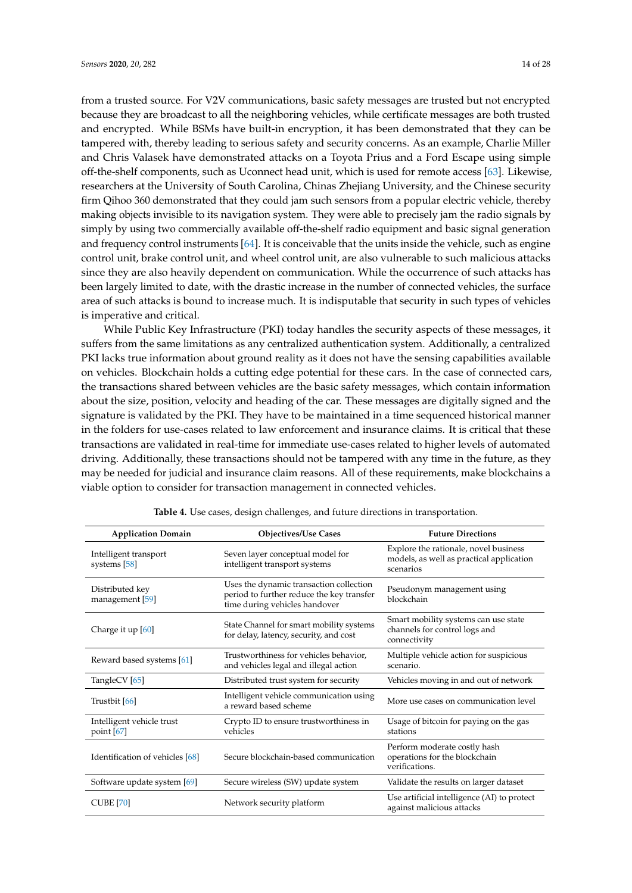from a trusted source. For V2V communications, basic safety messages are trusted but not encrypted because they are broadcast to all the neighboring vehicles, while certificate messages are both trusted and encrypted. While BSMs have built-in encryption, it has been demonstrated that they can be tampered with, thereby leading to serious safety and security concerns. As an example, Charlie Miller and Chris Valasek have demonstrated attacks on a Toyota Prius and a Ford Escape using simple off-the-shelf components, such as Uconnect head unit, which is used for remote access [\[63\]](#page-25-22). Likewise, researchers at the University of South Carolina, Chinas Zhejiang University, and the Chinese security firm Qihoo 360 demonstrated that they could jam such sensors from a popular electric vehicle, thereby making objects invisible to its navigation system. They were able to precisely jam the radio signals by simply by using two commercially available off-the-shelf radio equipment and basic signal generation and frequency control instruments [\[64\]](#page-26-0). It is conceivable that the units inside the vehicle, such as engine control unit, brake control unit, and wheel control unit, are also vulnerable to such malicious attacks since they are also heavily dependent on communication. While the occurrence of such attacks has been largely limited to date, with the drastic increase in the number of connected vehicles, the surface area of such attacks is bound to increase much. It is indisputable that security in such types of vehicles is imperative and critical.

While Public Key Infrastructure (PKI) today handles the security aspects of these messages, it suffers from the same limitations as any centralized authentication system. Additionally, a centralized PKI lacks true information about ground reality as it does not have the sensing capabilities available on vehicles. Blockchain holds a cutting edge potential for these cars. In the case of connected cars, the transactions shared between vehicles are the basic safety messages, which contain information about the size, position, velocity and heading of the car. These messages are digitally signed and the signature is validated by the PKI. They have to be maintained in a time sequenced historical manner in the folders for use-cases related to law enforcement and insurance claims. It is critical that these transactions are validated in real-time for immediate use-cases related to higher levels of automated driving. Additionally, these transactions should not be tampered with any time in the future, as they may be needed for judicial and insurance claim reasons. All of these requirements, make blockchains a viable option to consider for transaction management in connected vehicles.

<span id="page-13-0"></span>

| <b>Application Domain</b>                 | <b>Objectives/Use Cases</b>                                                                                           | <b>Future Directions</b>                                                                       |
|-------------------------------------------|-----------------------------------------------------------------------------------------------------------------------|------------------------------------------------------------------------------------------------|
| Intelligent transport<br>systems [58]     | Seven layer conceptual model for<br>intelligent transport systems                                                     | Explore the rationale, novel business<br>models, as well as practical application<br>scenarios |
| Distributed key<br>management [59]        | Uses the dynamic transaction collection<br>period to further reduce the key transfer<br>time during vehicles handover | Pseudonym management using<br>blockchain                                                       |
| Charge it up $[60]$                       | State Channel for smart mobility systems<br>for delay, latency, security, and cost                                    | Smart mobility systems can use state<br>channels for control logs and<br>connectivity          |
| Reward based systems [61]                 | Trustworthiness for vehicles behavior,<br>and vehicles legal and illegal action                                       | Multiple vehicle action for suspicious<br>scenario.                                            |
| TangleCV [65]                             | Distributed trust system for security                                                                                 | Vehicles moving in and out of network                                                          |
| Trustbit [66]                             | Intelligent vehicle communication using<br>a reward based scheme                                                      | More use cases on communication level                                                          |
| Intelligent vehicle trust<br>point $[67]$ | Crypto ID to ensure trustworthiness in<br>vehicles                                                                    | Usage of bitcoin for paying on the gas<br>stations                                             |
| Identification of vehicles [68]           | Secure blockchain-based communication                                                                                 | Perform moderate costly hash<br>operations for the blockchain<br>verifications.                |
| Software update system [69]               | Secure wireless (SW) update system                                                                                    | Validate the results on larger dataset                                                         |
| <b>CUBE [70]</b>                          | Network security platform                                                                                             | Use artificial intelligence (AI) to protect<br>against malicious attacks                       |

|  |  |  | Table 4. Use cases, design challenges, and future directions in transportation. |  |  |  |  |
|--|--|--|---------------------------------------------------------------------------------|--|--|--|--|
|--|--|--|---------------------------------------------------------------------------------|--|--|--|--|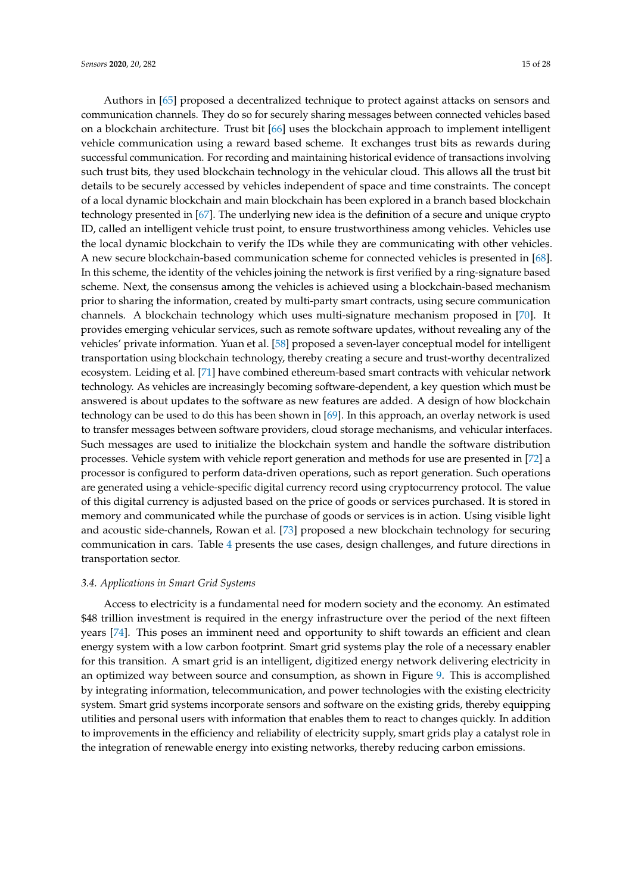Authors in [\[65\]](#page-26-1) proposed a decentralized technique to protect against attacks on sensors and communication channels. They do so for securely sharing messages between connected vehicles based on a blockchain architecture. Trust bit [\[66\]](#page-26-2) uses the blockchain approach to implement intelligent vehicle communication using a reward based scheme. It exchanges trust bits as rewards during successful communication. For recording and maintaining historical evidence of transactions involving such trust bits, they used blockchain technology in the vehicular cloud. This allows all the trust bit details to be securely accessed by vehicles independent of space and time constraints. The concept of a local dynamic blockchain and main blockchain has been explored in a branch based blockchain technology presented in [\[67\]](#page-26-3). The underlying new idea is the definition of a secure and unique crypto ID, called an intelligent vehicle trust point, to ensure trustworthiness among vehicles. Vehicles use the local dynamic blockchain to verify the IDs while they are communicating with other vehicles. A new secure blockchain-based communication scheme for connected vehicles is presented in [\[68\]](#page-26-4). In this scheme, the identity of the vehicles joining the network is first verified by a ring-signature based scheme. Next, the consensus among the vehicles is achieved using a blockchain-based mechanism prior to sharing the information, created by multi-party smart contracts, using secure communication channels. A blockchain technology which uses multi-signature mechanism proposed in [\[70\]](#page-26-6). It provides emerging vehicular services, such as remote software updates, without revealing any of the vehicles' private information. Yuan et al. [\[58\]](#page-25-17) proposed a seven-layer conceptual model for intelligent transportation using blockchain technology, thereby creating a secure and trust-worthy decentralized ecosystem. Leiding et al. [\[71\]](#page-26-7) have combined ethereum-based smart contracts with vehicular network technology. As vehicles are increasingly becoming software-dependent, a key question which must be answered is about updates to the software as new features are added. A design of how blockchain technology can be used to do this has been shown in [\[69\]](#page-26-5). In this approach, an overlay network is used to transfer messages between software providers, cloud storage mechanisms, and vehicular interfaces. Such messages are used to initialize the blockchain system and handle the software distribution processes. Vehicle system with vehicle report generation and methods for use are presented in [\[72\]](#page-26-8) a processor is configured to perform data-driven operations, such as report generation. Such operations are generated using a vehicle-specific digital currency record using cryptocurrency protocol. The value of this digital currency is adjusted based on the price of goods or services purchased. It is stored in memory and communicated while the purchase of goods or services is in action. Using visible light and acoustic side-channels, Rowan et al. [\[73\]](#page-26-9) proposed a new blockchain technology for securing communication in cars. Table [4](#page-13-0) presents the use cases, design challenges, and future directions in transportation sector.

#### *3.4. Applications in Smart Grid Systems*

Access to electricity is a fundamental need for modern society and the economy. An estimated \$48 trillion investment is required in the energy infrastructure over the period of the next fifteen years [\[74\]](#page-26-10). This poses an imminent need and opportunity to shift towards an efficient and clean energy system with a low carbon footprint. Smart grid systems play the role of a necessary enabler for this transition. A smart grid is an intelligent, digitized energy network delivering electricity in an optimized way between source and consumption, as shown in Figure [9.](#page-15-0) This is accomplished by integrating information, telecommunication, and power technologies with the existing electricity system. Smart grid systems incorporate sensors and software on the existing grids, thereby equipping utilities and personal users with information that enables them to react to changes quickly. In addition to improvements in the efficiency and reliability of electricity supply, smart grids play a catalyst role in the integration of renewable energy into existing networks, thereby reducing carbon emissions.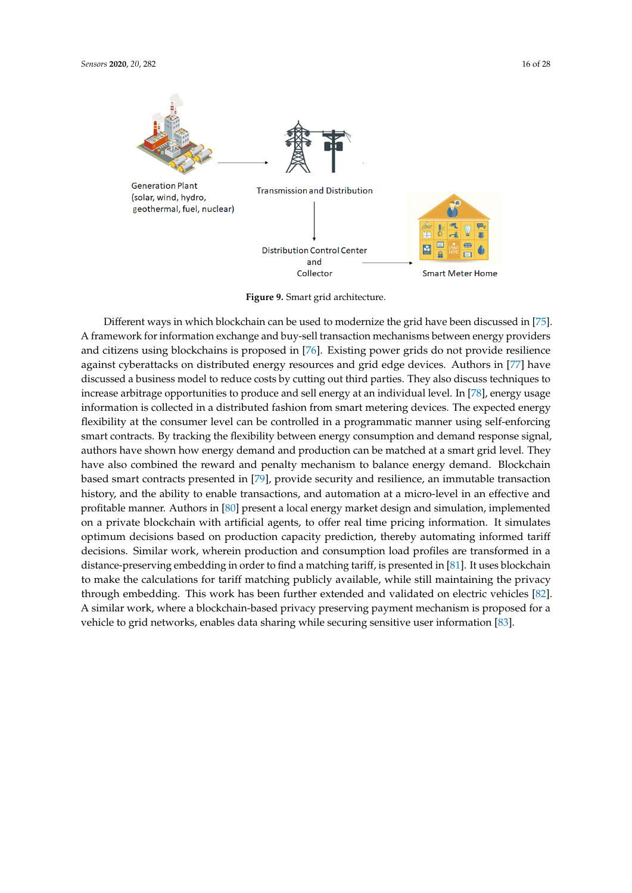<span id="page-15-0"></span>

**Generation Plant** (solar, wind, hydro, geothermal, fuel, nuclear)



**Transmission and Distribution** Ţ **Distribution Control Center** and Collector **Smart Meter Home** 

**Figure 9.** Smart grid architecture.

Different ways in which blockchain can be used to modernize the grid have been discussed in [\[75\]](#page-26-11). A framework for information exchange and buy-sell transaction mechanisms between energy providers and citizens using blockchains is proposed in [\[76\]](#page-26-12). Existing power grids do not provide resilience against cyberattacks on distributed energy resources and grid edge devices. Authors in [\[77\]](#page-26-13) have discussed a business model to reduce costs by cutting out third parties. They also discuss techniques to increase arbitrage opportunities to produce and sell energy at an individual level. In [\[78\]](#page-26-14), energy usage information is collected in a distributed fashion from smart metering devices. The expected energy flexibility at the consumer level can be controlled in a programmatic manner using self-enforcing smart contracts. By tracking the flexibility between energy consumption and demand response signal, authors have shown how energy demand and production can be matched at a smart grid level. They have also combined the reward and penalty mechanism to balance energy demand. Blockchain based smart contracts presented in [\[79\]](#page-26-15), provide security and resilience, an immutable transaction history, and the ability to enable transactions, and automation at a micro-level in an effective and profitable manner. Authors in [\[80\]](#page-26-16) present a local energy market design and simulation, implemented on a private blockchain with artificial agents, to offer real time pricing information. It simulates optimum decisions based on production capacity prediction, thereby automating informed tariff decisions. Similar work, wherein production and consumption load profiles are transformed in a distance-preserving embedding in order to find a matching tariff, is presented in [\[81\]](#page-26-17). It uses blockchain to make the calculations for tariff matching publicly available, while still maintaining the privacy through embedding. This work has been further extended and validated on electric vehicles [\[82\]](#page-26-18). A similar work, where a blockchain-based privacy preserving payment mechanism is proposed for a vehicle to grid networks, enables data sharing while securing sensitive user information [\[83\]](#page-26-19).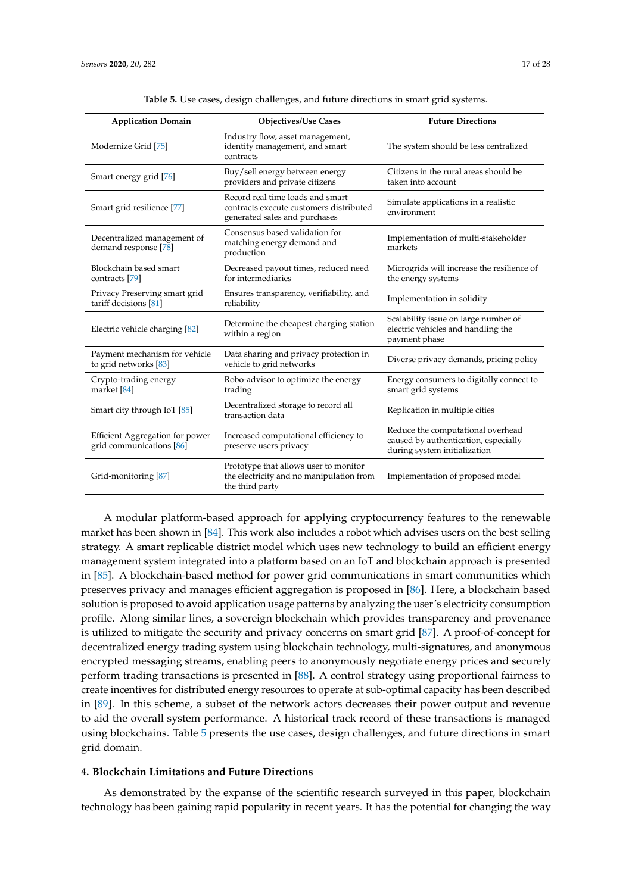<span id="page-16-1"></span>

| <b>Application Domain</b>                                   | <b>Objectives/Use Cases</b>                                                                                  | <b>Future Directions</b>                                                                                  |
|-------------------------------------------------------------|--------------------------------------------------------------------------------------------------------------|-----------------------------------------------------------------------------------------------------------|
| Modernize Grid [75]                                         | Industry flow, asset management,<br>identity management, and smart<br>contracts                              | The system should be less centralized                                                                     |
| Smart energy grid [76]                                      | Buy/sell energy between energy<br>providers and private citizens                                             | Citizens in the rural areas should be<br>taken into account                                               |
| Smart grid resilience [77]                                  | Record real time loads and smart<br>contracts execute customers distributed<br>generated sales and purchases | Simulate applications in a realistic<br>environment                                                       |
| Decentralized management of<br>demand response [78]         | Consensus based validation for<br>matching energy demand and<br>production                                   | Implementation of multi-stakeholder<br>markets                                                            |
| Blockchain based smart<br>contracts [79]                    | Decreased payout times, reduced need<br>for intermediaries                                                   | Microgrids will increase the resilience of<br>the energy systems                                          |
| Privacy Preserving smart grid<br>tariff decisions [81]      | Ensures transparency, verifiability, and<br>reliability                                                      | Implementation in solidity                                                                                |
| Electric vehicle charging [82]                              | Determine the cheapest charging station<br>within a region                                                   | Scalability issue on large number of<br>electric vehicles and handling the<br>payment phase               |
| Payment mechanism for vehicle<br>to grid networks [83]      | Data sharing and privacy protection in<br>vehicle to grid networks                                           | Diverse privacy demands, pricing policy                                                                   |
| Crypto-trading energy<br>market [84]                        | Robo-advisor to optimize the energy<br>trading                                                               | Energy consumers to digitally connect to<br>smart grid systems                                            |
| Smart city through IoT [85]                                 | Decentralized storage to record all<br>transaction data                                                      | Replication in multiple cities                                                                            |
| Efficient Aggregation for power<br>grid communications [86] | Increased computational efficiency to<br>preserve users privacy                                              | Reduce the computational overhead<br>caused by authentication, especially<br>during system initialization |
| Grid-monitoring [87]                                        | Prototype that allows user to monitor<br>the electricity and no manipulation from<br>the third party         | Implementation of proposed model                                                                          |

**Table 5.** Use cases, design challenges, and future directions in smart grid systems.

A modular platform-based approach for applying cryptocurrency features to the renewable market has been shown in [\[84\]](#page-26-20). This work also includes a robot which advises users on the best selling strategy. A smart replicable district model which uses new technology to build an efficient energy management system integrated into a platform based on an IoT and blockchain approach is presented in [\[85\]](#page-26-21). A blockchain-based method for power grid communications in smart communities which preserves privacy and manages efficient aggregation is proposed in [\[86\]](#page-27-0). Here, a blockchain based solution is proposed to avoid application usage patterns by analyzing the user's electricity consumption profile. Along similar lines, a sovereign blockchain which provides transparency and provenance is utilized to mitigate the security and privacy concerns on smart grid [\[87\]](#page-27-1). A proof-of-concept for decentralized energy trading system using blockchain technology, multi-signatures, and anonymous encrypted messaging streams, enabling peers to anonymously negotiate energy prices and securely perform trading transactions is presented in [\[88\]](#page-27-2). A control strategy using proportional fairness to create incentives for distributed energy resources to operate at sub-optimal capacity has been described in [\[89\]](#page-27-3). In this scheme, a subset of the network actors decreases their power output and revenue to aid the overall system performance. A historical track record of these transactions is managed using blockchains. Table [5](#page-16-1) presents the use cases, design challenges, and future directions in smart grid domain.

## <span id="page-16-0"></span>**4. Blockchain Limitations and Future Directions**

As demonstrated by the expanse of the scientific research surveyed in this paper, blockchain technology has been gaining rapid popularity in recent years. It has the potential for changing the way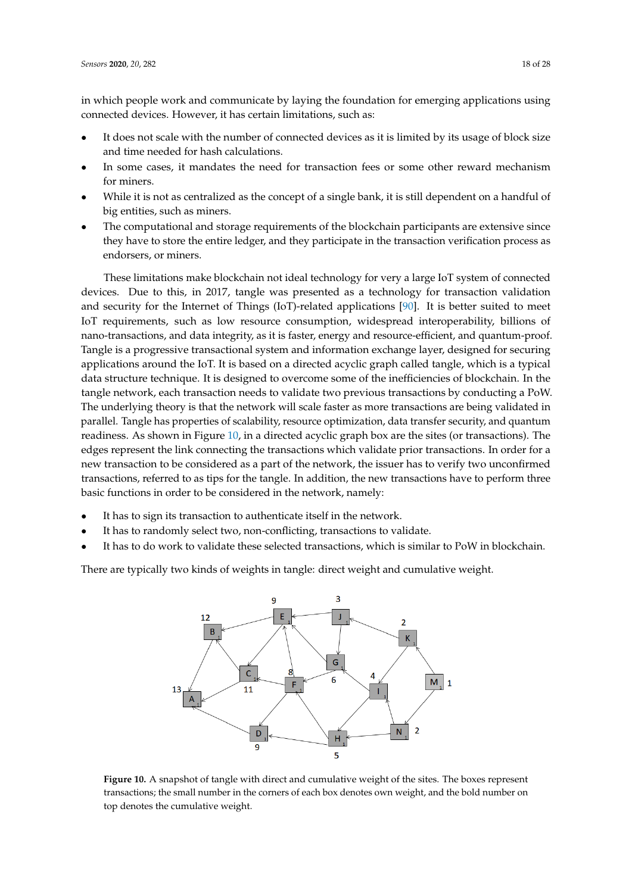in which people work and communicate by laying the foundation for emerging applications using connected devices. However, it has certain limitations, such as:

- It does not scale with the number of connected devices as it is limited by its usage of block size and time needed for hash calculations.
- In some cases, it mandates the need for transaction fees or some other reward mechanism for miners.
- While it is not as centralized as the concept of a single bank, it is still dependent on a handful of big entities, such as miners.
- The computational and storage requirements of the blockchain participants are extensive since they have to store the entire ledger, and they participate in the transaction verification process as endorsers, or miners.

These limitations make blockchain not ideal technology for very a large IoT system of connected devices. Due to this, in 2017, tangle was presented as a technology for transaction validation and security for the Internet of Things (IoT)-related applications [\[90\]](#page-27-4). It is better suited to meet IoT requirements, such as low resource consumption, widespread interoperability, billions of nano-transactions, and data integrity, as it is faster, energy and resource-efficient, and quantum-proof. Tangle is a progressive transactional system and information exchange layer, designed for securing applications around the IoT. It is based on a directed acyclic graph called tangle, which is a typical data structure technique. It is designed to overcome some of the inefficiencies of blockchain. In the tangle network, each transaction needs to validate two previous transactions by conducting a PoW. The underlying theory is that the network will scale faster as more transactions are being validated in parallel. Tangle has properties of scalability, resource optimization, data transfer security, and quantum readiness. As shown in Figure [10,](#page-17-0) in a directed acyclic graph box are the sites (or transactions). The edges represent the link connecting the transactions which validate prior transactions. In order for a new transaction to be considered as a part of the network, the issuer has to verify two unconfirmed transactions, referred to as tips for the tangle. In addition, the new transactions have to perform three basic functions in order to be considered in the network, namely:

- It has to sign its transaction to authenticate itself in the network.
- It has to randomly select two, non-conflicting, transactions to validate.
- It has to do work to validate these selected transactions, which is similar to PoW in blockchain.

<span id="page-17-0"></span>There are typically two kinds of weights in tangle: direct weight and cumulative weight.



**Figure 10.** A snapshot of tangle with direct and cumulative weight of the sites. The boxes represent transactions; the small number in the corners of each box denotes own weight, and the bold number on top denotes the cumulative weight.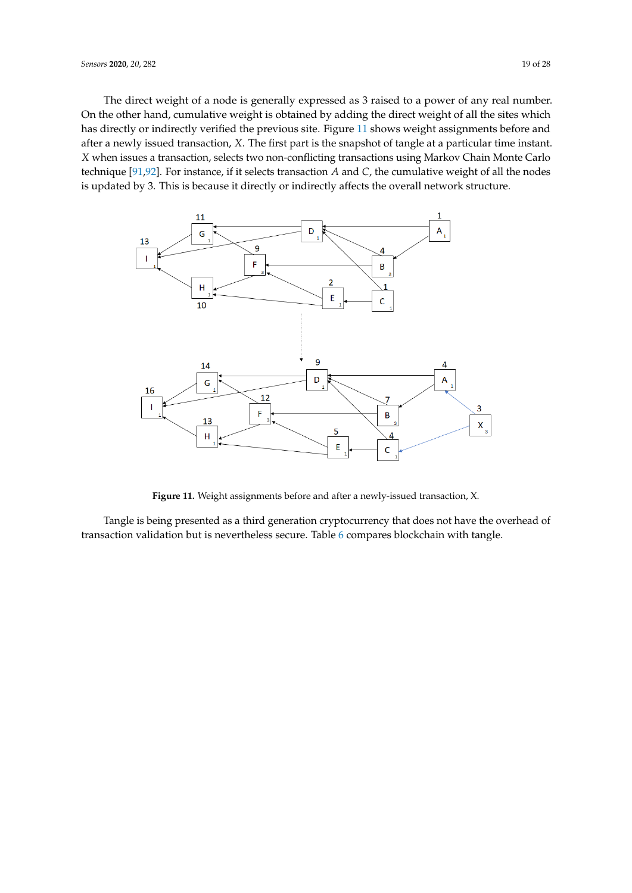The direct weight of a node is generally expressed as 3 raised to a power of any real number. On the other hand, cumulative weight is obtained by adding the direct weight of all the sites which has directly or indirectly verified the previous site. Figure [11](#page-18-0) shows weight assignments before and after a newly issued transaction, *X*. The first part is the snapshot of tangle at a particular time instant. *X* when issues a transaction, selects two non-conflicting transactions using Markov Chain Monte Carlo technique [\[91,](#page-27-5)[92\]](#page-27-6). For instance, if it selects transaction *A* and *C*, the cumulative weight of all the nodes is updated by 3. This is because it directly or indirectly affects the overall network structure.

<span id="page-18-0"></span>

**Figure 11.** Weight assignments before and after a newly-issued transaction, X.

Tangle is being presented as a third generation cryptocurrency that does not have the overhead of transaction validation but is nevertheless secure. Table [6](#page-19-1) compares blockchain with tangle.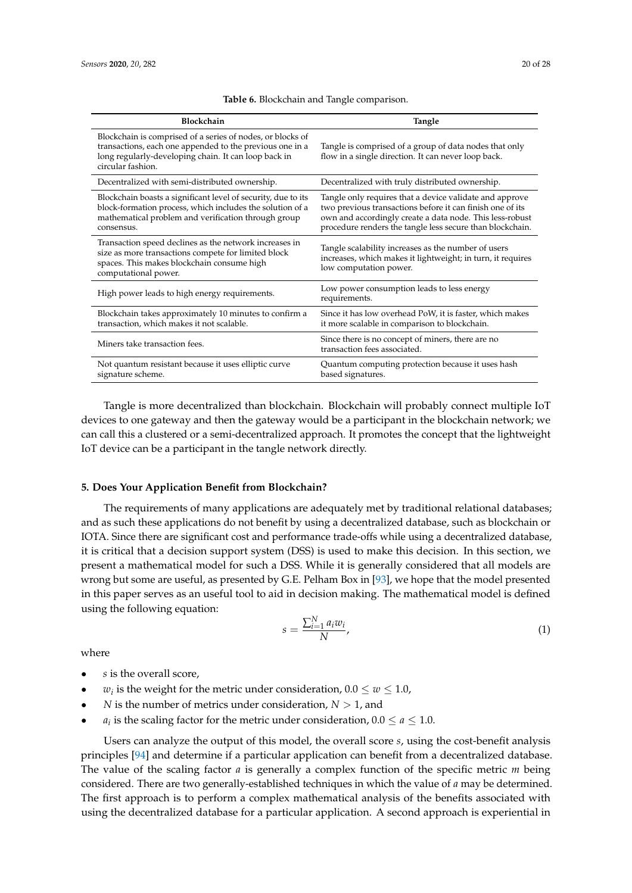<span id="page-19-1"></span>

| Blockchain                                                                                                                                                                                          | Tangle                                                                                                                                                                                                                                        |
|-----------------------------------------------------------------------------------------------------------------------------------------------------------------------------------------------------|-----------------------------------------------------------------------------------------------------------------------------------------------------------------------------------------------------------------------------------------------|
| Blockchain is comprised of a series of nodes, or blocks of<br>transactions, each one appended to the previous one in a<br>long regularly-developing chain. It can loop back in<br>circular fashion. | Tangle is comprised of a group of data nodes that only<br>flow in a single direction. It can never loop back.                                                                                                                                 |
| Decentralized with semi-distributed ownership.                                                                                                                                                      | Decentralized with truly distributed ownership.                                                                                                                                                                                               |
| Blockchain boasts a significant level of security, due to its<br>block-formation process, which includes the solution of a<br>mathematical problem and verification through group<br>consensus.     | Tangle only requires that a device validate and approve<br>two previous transactions before it can finish one of its<br>own and accordingly create a data node. This less-robust<br>procedure renders the tangle less secure than blockchain. |
| Transaction speed declines as the network increases in<br>size as more transactions compete for limited block<br>spaces. This makes blockchain consume high<br>computational power.                 | Tangle scalability increases as the number of users<br>increases, which makes it lightweight; in turn, it requires<br>low computation power.                                                                                                  |
| High power leads to high energy requirements.                                                                                                                                                       | Low power consumption leads to less energy<br>requirements.                                                                                                                                                                                   |
| Blockchain takes approximately 10 minutes to confirm a<br>transaction, which makes it not scalable.                                                                                                 | Since it has low overhead PoW, it is faster, which makes<br>it more scalable in comparison to blockchain.                                                                                                                                     |
| Miners take transaction fees.                                                                                                                                                                       | Since there is no concept of miners, there are no<br>transaction fees associated.                                                                                                                                                             |
| Not quantum resistant because it uses elliptic curve<br>signature scheme.                                                                                                                           | Quantum computing protection because it uses hash<br>based signatures.                                                                                                                                                                        |

**Table 6.** Blockchain and Tangle comparison.

Tangle is more decentralized than blockchain. Blockchain will probably connect multiple IoT devices to one gateway and then the gateway would be a participant in the blockchain network; we can call this a clustered or a semi-decentralized approach. It promotes the concept that the lightweight IoT device can be a participant in the tangle network directly.

## <span id="page-19-0"></span>**5. Does Your Application Benefit from Blockchain?**

The requirements of many applications are adequately met by traditional relational databases; and as such these applications do not benefit by using a decentralized database, such as blockchain or IOTA. Since there are significant cost and performance trade-offs while using a decentralized database, it is critical that a decision support system (DSS) is used to make this decision. In this section, we present a mathematical model for such a DSS. While it is generally considered that all models are wrong but some are useful, as presented by G.E. Pelham Box in [\[93\]](#page-27-7), we hope that the model presented in this paper serves as an useful tool to aid in decision making. The mathematical model is defined using the following equation:

<span id="page-19-2"></span>
$$
s = \frac{\sum_{i=1}^{N} a_i w_i}{N},\tag{1}
$$

where

- *s* is the overall score,
- *w*<sub>*i*</sub> is the weight for the metric under consideration,  $0.0 \le w \le 1.0$ ,
- *N* is the number of metrics under consideration,  $N > 1$ , and
- *a<sub>i</sub>* is the scaling factor for the metric under consideration,  $0.0 \le a \le 1.0$ .

Users can analyze the output of this model, the overall score *s*, using the cost-benefit analysis principles [\[94\]](#page-27-8) and determine if a particular application can benefit from a decentralized database. The value of the scaling factor *a* is generally a complex function of the specific metric *m* being considered. There are two generally-established techniques in which the value of *a* may be determined. The first approach is to perform a complex mathematical analysis of the benefits associated with using the decentralized database for a particular application. A second approach is experiential in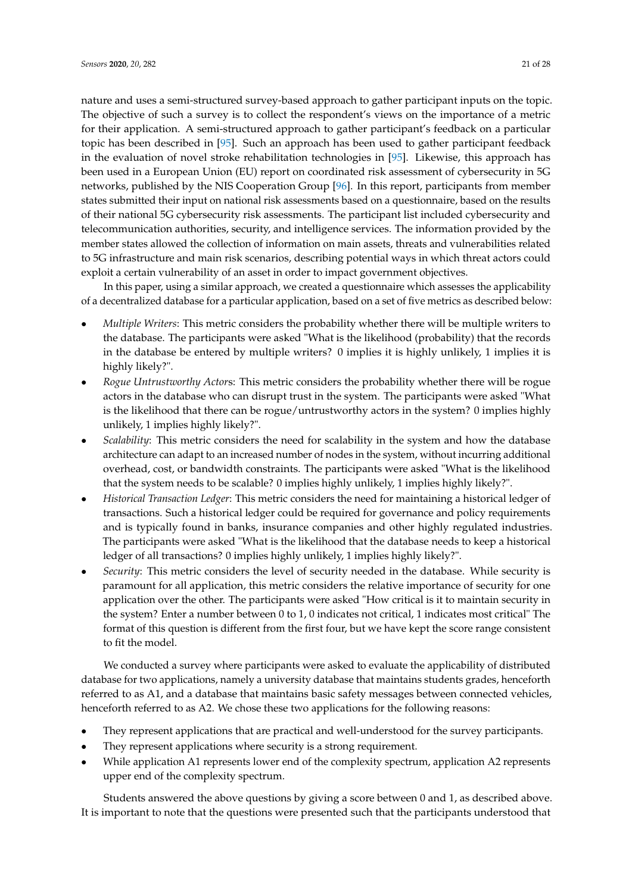nature and uses a semi-structured survey-based approach to gather participant inputs on the topic. The objective of such a survey is to collect the respondent's views on the importance of a metric for their application. A semi-structured approach to gather participant's feedback on a particular topic has been described in [\[95\]](#page-27-9). Such an approach has been used to gather participant feedback in the evaluation of novel stroke rehabilitation technologies in [\[95\]](#page-27-9). Likewise, this approach has been used in a European Union (EU) report on coordinated risk assessment of cybersecurity in 5G networks, published by the NIS Cooperation Group [\[96\]](#page-27-10). In this report, participants from member states submitted their input on national risk assessments based on a questionnaire, based on the results of their national 5G cybersecurity risk assessments. The participant list included cybersecurity and telecommunication authorities, security, and intelligence services. The information provided by the member states allowed the collection of information on main assets, threats and vulnerabilities related to 5G infrastructure and main risk scenarios, describing potential ways in which threat actors could exploit a certain vulnerability of an asset in order to impact government objectives.

In this paper, using a similar approach, we created a questionnaire which assesses the applicability of a decentralized database for a particular application, based on a set of five metrics as described below:

- *Multiple Writers*: This metric considers the probability whether there will be multiple writers to the database. The participants were asked "What is the likelihood (probability) that the records in the database be entered by multiple writers? 0 implies it is highly unlikely, 1 implies it is highly likely?".
- *Rogue Untrustworthy Actor*s: This metric considers the probability whether there will be rogue actors in the database who can disrupt trust in the system. The participants were asked "What is the likelihood that there can be rogue/untrustworthy actors in the system? 0 implies highly unlikely, 1 implies highly likely?".
- *Scalability*: This metric considers the need for scalability in the system and how the database architecture can adapt to an increased number of nodes in the system, without incurring additional overhead, cost, or bandwidth constraints. The participants were asked "What is the likelihood that the system needs to be scalable? 0 implies highly unlikely, 1 implies highly likely?".
- *Historical Transaction Ledger*: This metric considers the need for maintaining a historical ledger of transactions. Such a historical ledger could be required for governance and policy requirements and is typically found in banks, insurance companies and other highly regulated industries. The participants were asked "What is the likelihood that the database needs to keep a historical ledger of all transactions? 0 implies highly unlikely, 1 implies highly likely?".
- *Security*: This metric considers the level of security needed in the database. While security is paramount for all application, this metric considers the relative importance of security for one application over the other. The participants were asked "How critical is it to maintain security in the system? Enter a number between 0 to 1, 0 indicates not critical, 1 indicates most critical" The format of this question is different from the first four, but we have kept the score range consistent to fit the model.

We conducted a survey where participants were asked to evaluate the applicability of distributed database for two applications, namely a university database that maintains students grades, henceforth referred to as A1, and a database that maintains basic safety messages between connected vehicles, henceforth referred to as A2. We chose these two applications for the following reasons:

- They represent applications that are practical and well-understood for the survey participants.
- They represent applications where security is a strong requirement.
- While application A1 represents lower end of the complexity spectrum, application A2 represents upper end of the complexity spectrum.

Students answered the above questions by giving a score between 0 and 1, as described above. It is important to note that the questions were presented such that the participants understood that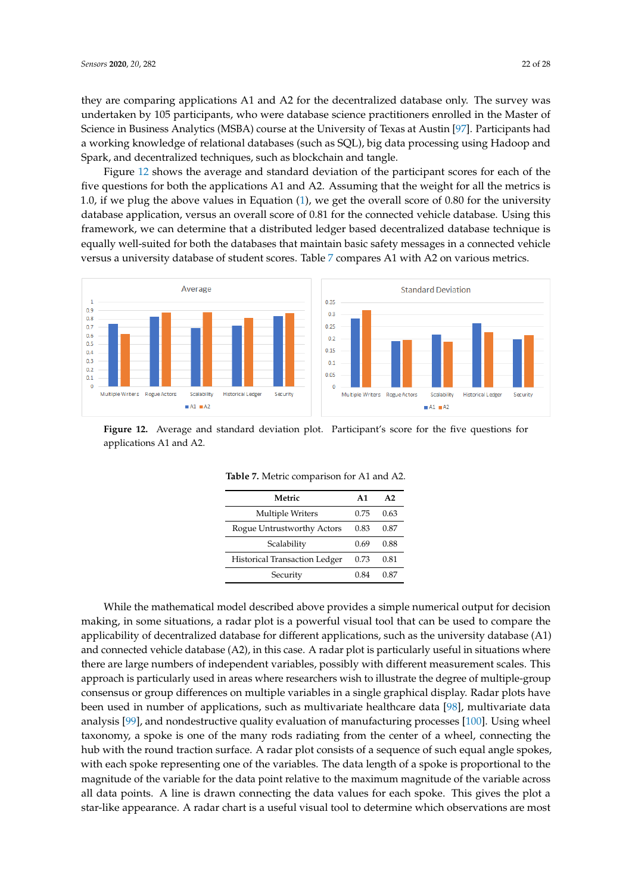they are comparing applications A1 and A2 for the decentralized database only. The survey was undertaken by 105 participants, who were database science practitioners enrolled in the Master of Science in Business Analytics (MSBA) course at the University of Texas at Austin [\[97\]](#page-27-11). Participants had a working knowledge of relational databases (such as SQL), big data processing using Hadoop and Spark, and decentralized techniques, such as blockchain and tangle.

Figure [12](#page-21-0) shows the average and standard deviation of the participant scores for each of the five questions for both the applications A1 and A2. Assuming that the weight for all the metrics is 1.0, if we plug the above values in Equation [\(1\)](#page-19-2), we get the overall score of 0.80 for the university database application, versus an overall score of 0.81 for the connected vehicle database. Using this framework, we can determine that a distributed ledger based decentralized database technique is equally well-suited for both the databases that maintain basic safety messages in a connected vehicle versus a university database of student scores. Table [7](#page-21-1) compares A1 with A2 on various metrics.

<span id="page-21-0"></span>

<span id="page-21-1"></span>**Figure 12.** Average and standard deviation plot. Participant's score for the five questions for applications A1 and A2.

| Metric                               | $\mathbf{A}$ 1 | A2   |
|--------------------------------------|----------------|------|
| <b>Multiple Writers</b>              | 0.75           | 0.63 |
| Rogue Untrustworthy Actors           | 0.83           | 0.87 |
| Scalability                          | 0.69           | 0.88 |
| <b>Historical Transaction Ledger</b> | 0.73           | 0.81 |
| Security                             | 0.84           | 0.87 |

**Table 7.** Metric comparison for A1 and A2.

While the mathematical model described above provides a simple numerical output for decision making, in some situations, a radar plot is a powerful visual tool that can be used to compare the applicability of decentralized database for different applications, such as the university database (A1) and connected vehicle database (A2), in this case. A radar plot is particularly useful in situations where there are large numbers of independent variables, possibly with different measurement scales. This approach is particularly used in areas where researchers wish to illustrate the degree of multiple-group consensus or group differences on multiple variables in a single graphical display. Radar plots have been used in number of applications, such as multivariate healthcare data [\[98\]](#page-27-12), multivariate data analysis [\[99\]](#page-27-13), and nondestructive quality evaluation of manufacturing processes [\[100\]](#page-27-14). Using wheel taxonomy, a spoke is one of the many rods radiating from the center of a wheel, connecting the hub with the round traction surface. A radar plot consists of a sequence of such equal angle spokes, with each spoke representing one of the variables. The data length of a spoke is proportional to the magnitude of the variable for the data point relative to the maximum magnitude of the variable across all data points. A line is drawn connecting the data values for each spoke. This gives the plot a star-like appearance. A radar chart is a useful visual tool to determine which observations are most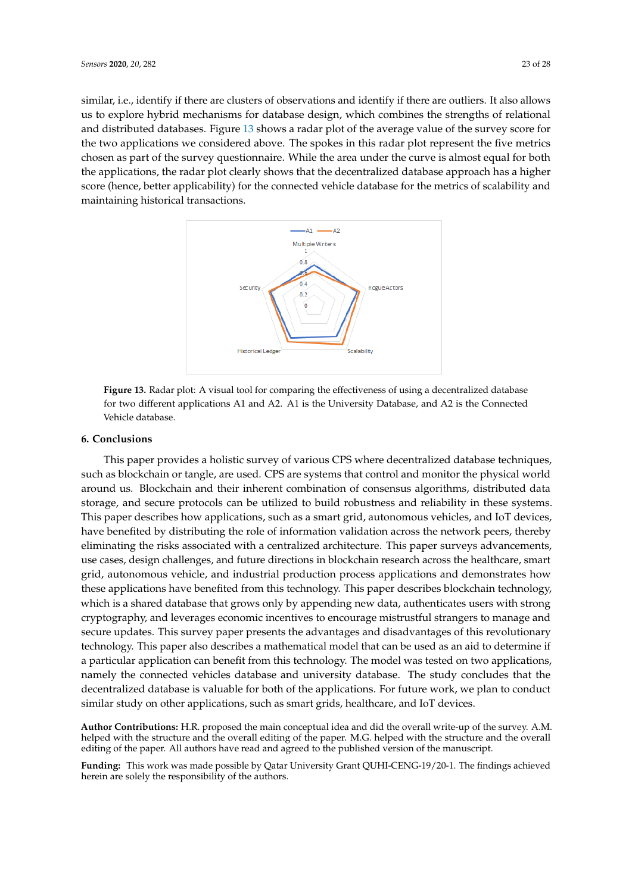similar, i.e., identify if there are clusters of observations and identify if there are outliers. It also allows us to explore hybrid mechanisms for database design, which combines the strengths of relational and distributed databases. Figure [13](#page-22-1) shows a radar plot of the average value of the survey score for the two applications we considered above. The spokes in this radar plot represent the five metrics

<span id="page-22-1"></span>chosen as part of the survey questionnaire. While the area under the curve is almost equal for both the applications, the radar plot clearly shows that the decentralized database approach has a higher score (hence, better applicability) for the connected vehicle database for the metrics of scalability and maintaining historical transactions.



**Figure 13.** Radar plot: A visual tool for comparing the effectiveness of using a decentralized database for two different applications A1 and A2. A1 is the University Database, and A2 is the Connected Vehicle database.

#### <span id="page-22-0"></span>**6. Conclusions**

This paper provides a holistic survey of various CPS where decentralized database techniques, such as blockchain or tangle, are used. CPS are systems that control and monitor the physical world around us. Blockchain and their inherent combination of consensus algorithms, distributed data storage, and secure protocols can be utilized to build robustness and reliability in these systems. This paper describes how applications, such as a smart grid, autonomous vehicles, and IoT devices, have benefited by distributing the role of information validation across the network peers, thereby eliminating the risks associated with a centralized architecture. This paper surveys advancements, use cases, design challenges, and future directions in blockchain research across the healthcare, smart grid, autonomous vehicle, and industrial production process applications and demonstrates how these applications have benefited from this technology. This paper describes blockchain technology, which is a shared database that grows only by appending new data, authenticates users with strong cryptography, and leverages economic incentives to encourage mistrustful strangers to manage and secure updates. This survey paper presents the advantages and disadvantages of this revolutionary technology. This paper also describes a mathematical model that can be used as an aid to determine if a particular application can benefit from this technology. The model was tested on two applications, namely the connected vehicles database and university database. The study concludes that the decentralized database is valuable for both of the applications. For future work, we plan to conduct similar study on other applications, such as smart grids, healthcare, and IoT devices.

**Author Contributions:** H.R. proposed the main conceptual idea and did the overall write-up of the survey. A.M. helped with the structure and the overall editing of the paper. M.G. helped with the structure and the overall editing of the paper. All authors have read and agreed to the published version of the manuscript.

**Funding:** This work was made possible by Qatar University Grant QUHI-CENG-19/20-1. The findings achieved herein are solely the responsibility of the authors.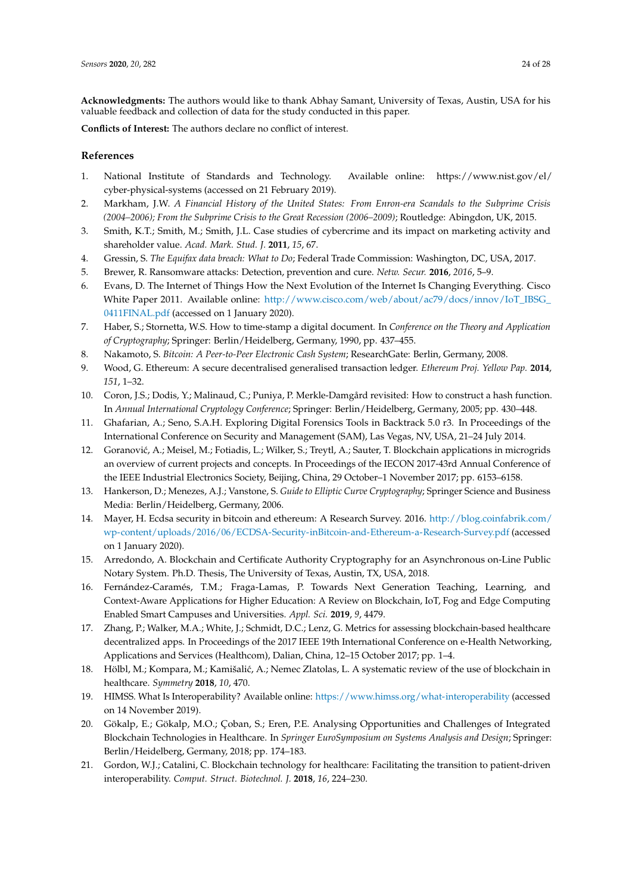**Acknowledgments:** The authors would like to thank Abhay Samant, University of Texas, Austin, USA for his valuable feedback and collection of data for the study conducted in this paper.

**Conflicts of Interest:** The authors declare no conflict of interest.

## **References**

- <span id="page-23-0"></span>1. National Institute of Standards and Technology. Available online: https://www.nist.gov/el/ cyber-physical-systems (accessed on 21 February 2019).
- <span id="page-23-1"></span>2. Markham, J.W. *A Financial History of the United States: From Enron-era Scandals to the Subprime Crisis (2004–2006); From the Subprime Crisis to the Great Recession (2006–2009)*; Routledge: Abingdon, UK, 2015.
- <span id="page-23-2"></span>3. Smith, K.T.; Smith, M.; Smith, J.L. Case studies of cybercrime and its impact on marketing activity and shareholder value. *Acad. Mark. Stud. J.* **2011**, *15*, 67.
- <span id="page-23-3"></span>4. Gressin, S. *The Equifax data breach: What to Do*; Federal Trade Commission: Washington, DC, USA, 2017.
- <span id="page-23-4"></span>5. Brewer, R. Ransomware attacks: Detection, prevention and cure. *Netw. Secur.* **2016**, *2016*, 5–9.
- <span id="page-23-5"></span>6. Evans, D. The Internet of Things How the Next Evolution of the Internet Is Changing Everything. Cisco White Paper 2011. Available online: [http://www.cisco.com/web/about/ac79/docs/innov/IoT\\_IBSG\\_](http://www.cisco.com/web/about/ac79/docs/innov/IoT_IBSG_0411FINAL.pdf) [0411FINAL.pdf](http://www.cisco.com/web/about/ac79/docs/innov/IoT_IBSG_0411FINAL.pdf) (accessed on 1 January 2020).
- <span id="page-23-6"></span>7. Haber, S.; Stornetta, W.S. How to time-stamp a digital document. In *Conference on the Theory and Application of Cryptography*; Springer: Berlin/Heidelberg, Germany, 1990, pp. 437–455.
- <span id="page-23-7"></span>8. Nakamoto, S. *Bitcoin: A Peer-to-Peer Electronic Cash System*; ResearchGate: Berlin, Germany, 2008.
- <span id="page-23-8"></span>9. Wood, G. Ethereum: A secure decentralised generalised transaction ledger. *Ethereum Proj. Yellow Pap.* **2014**, *151*, 1–32.
- <span id="page-23-9"></span>10. Coron, J.S.; Dodis, Y.; Malinaud, C.; Puniya, P. Merkle-Damgård revisited: How to construct a hash function. In *Annual International Cryptology Conference*; Springer: Berlin/Heidelberg, Germany, 2005; pp. 430–448.
- <span id="page-23-10"></span>11. Ghafarian, A.; Seno, S.A.H. Exploring Digital Forensics Tools in Backtrack 5.0 r3. In Proceedings of the International Conference on Security and Management (SAM), Las Vegas, NV, USA, 21–24 July 2014.
- <span id="page-23-11"></span>12. Goranović, A.; Meisel, M.; Fotiadis, L.; Wilker, S.; Treytl, A.; Sauter, T. Blockchain applications in microgrids an overview of current projects and concepts. In Proceedings of the IECON 2017-43rd Annual Conference of the IEEE Industrial Electronics Society, Beijing, China, 29 October–1 November 2017; pp. 6153–6158.
- <span id="page-23-12"></span>13. Hankerson, D.; Menezes, A.J.; Vanstone, S. *Guide to Elliptic Curve Cryptography*; Springer Science and Business Media: Berlin/Heidelberg, Germany, 2006.
- <span id="page-23-13"></span>14. Mayer, H. Ecdsa security in bitcoin and ethereum: A Research Survey. 2016. [http://blog.coinfabrik.com/]( http://blog.coinfabrik.com/wp-content/uploads/2016/06/ECDSA-Security- inBitcoin-and-Ethereum-a-Research-Survey.pdf) [wp-content/uploads/2016/06/ECDSA-Security-inBitcoin-and-Ethereum-a-Research-Survey.pdf]( http://blog.coinfabrik.com/wp-content/uploads/2016/06/ECDSA-Security- inBitcoin-and-Ethereum-a-Research-Survey.pdf) (accessed on 1 January 2020).
- <span id="page-23-14"></span>15. Arredondo, A. Blockchain and Certificate Authority Cryptography for an Asynchronous on-Line Public Notary System. Ph.D. Thesis, The University of Texas, Austin, TX, USA, 2018.
- <span id="page-23-15"></span>16. Fernández-Caramés, T.M.; Fraga-Lamas, P. Towards Next Generation Teaching, Learning, and Context-Aware Applications for Higher Education: A Review on Blockchain, IoT, Fog and Edge Computing Enabled Smart Campuses and Universities. *Appl. Sci.* **2019**, *9*, 4479.
- <span id="page-23-16"></span>17. Zhang, P.; Walker, M.A.; White, J.; Schmidt, D.C.; Lenz, G. Metrics for assessing blockchain-based healthcare decentralized apps. In Proceedings of the 2017 IEEE 19th International Conference on e-Health Networking, Applications and Services (Healthcom), Dalian, China, 12–15 October 2017; pp. 1–4.
- <span id="page-23-17"></span>18. Hölbl, M.; Kompara, M.; Kamišalić, A.; Nemec Zlatolas, L. A systematic review of the use of blockchain in healthcare. *Symmetry* **2018**, *10*, 470.
- <span id="page-23-18"></span>19. HIMSS. What Is Interoperability? Available online: <https://www.himss.org/what-interoperability> (accessed on 14 November 2019).
- <span id="page-23-19"></span>20. Gökalp, E.; Gökalp, M.O.; Çoban, S.; Eren, P.E. Analysing Opportunities and Challenges of Integrated Blockchain Technologies in Healthcare. In *Springer EuroSymposium on Systems Analysis and Design*; Springer: Berlin/Heidelberg, Germany, 2018; pp. 174–183.
- <span id="page-23-20"></span>21. Gordon, W.J.; Catalini, C. Blockchain technology for healthcare: Facilitating the transition to patient-driven interoperability. *Comput. Struct. Biotechnol. J.* **2018**, *16*, 224–230.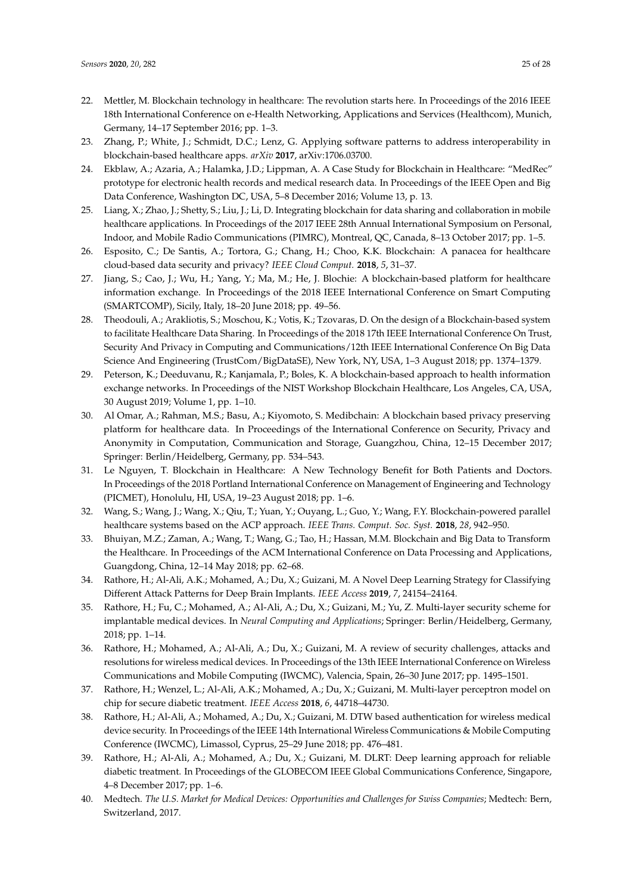- <span id="page-24-0"></span>22. Mettler, M. Blockchain technology in healthcare: The revolution starts here. In Proceedings of the 2016 IEEE 18th International Conference on e-Health Networking, Applications and Services (Healthcom), Munich, Germany, 14–17 September 2016; pp. 1–3.
- <span id="page-24-1"></span>23. Zhang, P.; White, J.; Schmidt, D.C.; Lenz, G. Applying software patterns to address interoperability in blockchain-based healthcare apps. *arXiv* **2017**, arXiv:1706.03700.
- <span id="page-24-2"></span>24. Ekblaw, A.; Azaria, A.; Halamka, J.D.; Lippman, A. A Case Study for Blockchain in Healthcare: "MedRec" prototype for electronic health records and medical research data. In Proceedings of the IEEE Open and Big Data Conference, Washington DC, USA, 5–8 December 2016; Volume 13, p. 13.
- <span id="page-24-3"></span>25. Liang, X.; Zhao, J.; Shetty, S.; Liu, J.; Li, D. Integrating blockchain for data sharing and collaboration in mobile healthcare applications. In Proceedings of the 2017 IEEE 28th Annual International Symposium on Personal, Indoor, and Mobile Radio Communications (PIMRC), Montreal, QC, Canada, 8–13 October 2017; pp. 1–5.
- <span id="page-24-4"></span>26. Esposito, C.; De Santis, A.; Tortora, G.; Chang, H.; Choo, K.K. Blockchain: A panacea for healthcare cloud-based data security and privacy? *IEEE Cloud Comput.* **2018**, *5*, 31–37.
- <span id="page-24-5"></span>27. Jiang, S.; Cao, J.; Wu, H.; Yang, Y.; Ma, M.; He, J. Blochie: A blockchain-based platform for healthcare information exchange. In Proceedings of the 2018 IEEE International Conference on Smart Computing (SMARTCOMP), Sicily, Italy, 18–20 June 2018; pp. 49–56.
- <span id="page-24-6"></span>28. Theodouli, A.; Arakliotis, S.; Moschou, K.; Votis, K.; Tzovaras, D. On the design of a Blockchain-based system to facilitate Healthcare Data Sharing. In Proceedings of the 2018 17th IEEE International Conference On Trust, Security And Privacy in Computing and Communications/12th IEEE International Conference On Big Data Science And Engineering (TrustCom/BigDataSE), New York, NY, USA, 1–3 August 2018; pp. 1374–1379.
- <span id="page-24-7"></span>29. Peterson, K.; Deeduvanu, R.; Kanjamala, P.; Boles, K. A blockchain-based approach to health information exchange networks. In Proceedings of the NIST Workshop Blockchain Healthcare, Los Angeles, CA, USA, 30 August 2019; Volume 1, pp. 1–10.
- <span id="page-24-8"></span>30. Al Omar, A.; Rahman, M.S.; Basu, A.; Kiyomoto, S. Medibchain: A blockchain based privacy preserving platform for healthcare data. In Proceedings of the International Conference on Security, Privacy and Anonymity in Computation, Communication and Storage, Guangzhou, China, 12–15 December 2017; Springer: Berlin/Heidelberg, Germany, pp. 534–543.
- <span id="page-24-9"></span>31. Le Nguyen, T. Blockchain in Healthcare: A New Technology Benefit for Both Patients and Doctors. In Proceedings of the 2018 Portland International Conference on Management of Engineering and Technology (PICMET), Honolulu, HI, USA, 19–23 August 2018; pp. 1–6.
- <span id="page-24-10"></span>32. Wang, S.; Wang, J.; Wang, X.; Qiu, T.; Yuan, Y.; Ouyang, L.; Guo, Y.; Wang, F.Y. Blockchain-powered parallel healthcare systems based on the ACP approach. *IEEE Trans. Comput. Soc. Syst.* **2018**, *28*, 942–950.
- <span id="page-24-11"></span>33. Bhuiyan, M.Z.; Zaman, A.; Wang, T.; Wang, G.; Tao, H.; Hassan, M.M. Blockchain and Big Data to Transform the Healthcare. In Proceedings of the ACM International Conference on Data Processing and Applications, Guangdong, China, 12–14 May 2018; pp. 62–68.
- <span id="page-24-12"></span>34. Rathore, H.; Al-Ali, A.K.; Mohamed, A.; Du, X.; Guizani, M. A Novel Deep Learning Strategy for Classifying Different Attack Patterns for Deep Brain Implants. *IEEE Access* **2019**, *7*, 24154–24164.
- 35. Rathore, H.; Fu, C.; Mohamed, A.; Al-Ali, A.; Du, X.; Guizani, M.; Yu, Z. Multi-layer security scheme for implantable medical devices. In *Neural Computing and Applications*; Springer: Berlin/Heidelberg, Germany, 2018; pp. 1–14.
- <span id="page-24-13"></span>36. Rathore, H.; Mohamed, A.; Al-Ali, A.; Du, X.; Guizani, M. A review of security challenges, attacks and resolutions for wireless medical devices. In Proceedings of the 13th IEEE International Conference on Wireless Communications and Mobile Computing (IWCMC), Valencia, Spain, 26–30 June 2017; pp. 1495–1501.
- <span id="page-24-14"></span>37. Rathore, H.; Wenzel, L.; Al-Ali, A.K.; Mohamed, A.; Du, X.; Guizani, M. Multi-layer perceptron model on chip for secure diabetic treatment. *IEEE Access* **2018**, *6*, 44718–44730.
- 38. Rathore, H.; Al-Ali, A.; Mohamed, A.; Du, X.; Guizani, M. DTW based authentication for wireless medical device security. In Proceedings of the IEEE 14th International Wireless Communications & Mobile Computing Conference (IWCMC), Limassol, Cyprus, 25–29 June 2018; pp. 476–481.
- <span id="page-24-15"></span>39. Rathore, H.; Al-Ali, A.; Mohamed, A.; Du, X.; Guizani, M. DLRT: Deep learning approach for reliable diabetic treatment. In Proceedings of the GLOBECOM IEEE Global Communications Conference, Singapore, 4–8 December 2017; pp. 1–6.
- <span id="page-24-16"></span>40. Medtech. *The U.S. Market for Medical Devices: Opportunities and Challenges for Swiss Companies*; Medtech: Bern, Switzerland, 2017.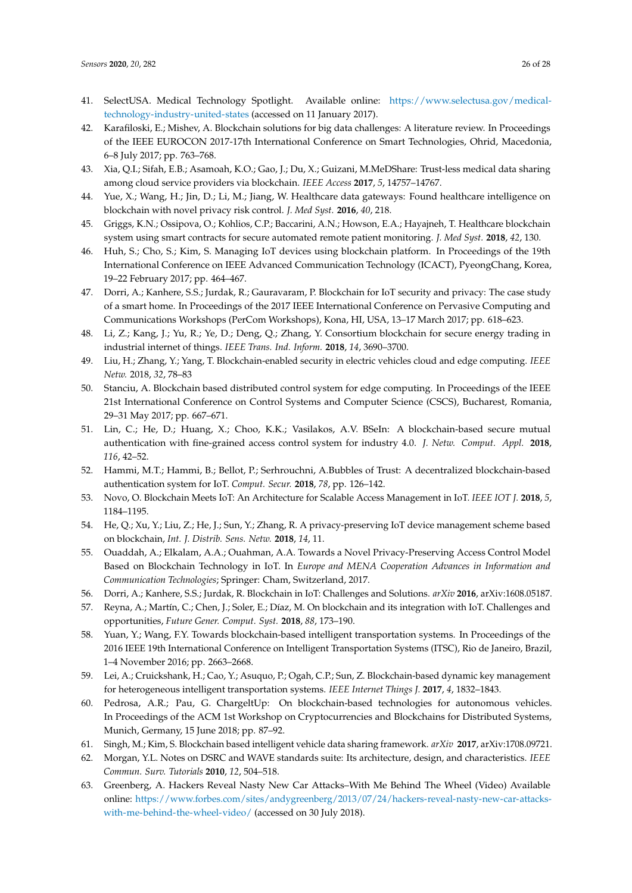- <span id="page-25-0"></span>41. SelectUSA. Medical Technology Spotlight. Available online: [https://www.selectusa.gov/medical](https://www.selectusa.gov/medical-technology-industry-united-states)[technology-industry-united-states](https://www.selectusa.gov/medical-technology-industry-united-states) (accessed on 11 January 2017).
- <span id="page-25-1"></span>42. Karafiloski, E.; Mishev, A. Blockchain solutions for big data challenges: A literature review. In Proceedings of the IEEE EUROCON 2017-17th International Conference on Smart Technologies, Ohrid, Macedonia, 6–8 July 2017; pp. 763–768.
- <span id="page-25-2"></span>43. Xia, Q.I.; Sifah, E.B.; Asamoah, K.O.; Gao, J.; Du, X.; Guizani, M.MeDShare: Trust-less medical data sharing among cloud service providers via blockchain. *IEEE Access* **2017**, *5*, 14757–14767.
- <span id="page-25-3"></span>44. Yue, X.; Wang, H.; Jin, D.; Li, M.; Jiang, W. Healthcare data gateways: Found healthcare intelligence on blockchain with novel privacy risk control. *J. Med Syst.* **2016**, *40*, 218.
- <span id="page-25-4"></span>45. Griggs, K.N.; Ossipova, O.; Kohlios, C.P.; Baccarini, A.N.; Howson, E.A.; Hayajneh, T. Healthcare blockchain system using smart contracts for secure automated remote patient monitoring. *J. Med Syst.* **2018**, *42*, 130.
- <span id="page-25-5"></span>46. Huh, S.; Cho, S.; Kim, S. Managing IoT devices using blockchain platform. In Proceedings of the 19th International Conference on IEEE Advanced Communication Technology (ICACT), PyeongChang, Korea, 19–22 February 2017; pp. 464–467.
- <span id="page-25-6"></span>47. Dorri, A.; Kanhere, S.S.; Jurdak, R.; Gauravaram, P. Blockchain for IoT security and privacy: The case study of a smart home. In Proceedings of the 2017 IEEE International Conference on Pervasive Computing and Communications Workshops (PerCom Workshops), Kona, HI, USA, 13–17 March 2017; pp. 618–623.
- <span id="page-25-7"></span>48. Li, Z.; Kang, J.; Yu, R.; Ye, D.; Deng, Q.; Zhang, Y. Consortium blockchain for secure energy trading in industrial internet of things. *IEEE Trans. Ind. Inform.* **2018**, *14*, 3690–3700.
- <span id="page-25-8"></span>49. Liu, H.; Zhang, Y.; Yang, T. Blockchain-enabled security in electric vehicles cloud and edge computing. *IEEE Netw.* 2018, *32*, 78–83
- <span id="page-25-9"></span>50. Stanciu, A. Blockchain based distributed control system for edge computing. In Proceedings of the IEEE 21st International Conference on Control Systems and Computer Science (CSCS), Bucharest, Romania, 29–31 May 2017; pp. 667–671.
- <span id="page-25-10"></span>51. Lin, C.; He, D.; Huang, X.; Choo, K.K.; Vasilakos, A.V. BSeIn: A blockchain-based secure mutual authentication with fine-grained access control system for industry 4.0. *J. Netw. Comput. Appl.* **2018**, *116*, 42–52.
- <span id="page-25-11"></span>52. Hammi, M.T.; Hammi, B.; Bellot, P.; Serhrouchni, A.Bubbles of Trust: A decentralized blockchain-based authentication system for IoT. *Comput. Secur.* **2018**, *78*, pp. 126–142.
- <span id="page-25-12"></span>53. Novo, O. Blockchain Meets IoT: An Architecture for Scalable Access Management in IoT. *IEEE IOT J.* **2018**, *5*, 1184–1195.
- <span id="page-25-13"></span>54. He, Q.; Xu, Y.; Liu, Z.; He, J.; Sun, Y.; Zhang, R. A privacy-preserving IoT device management scheme based on blockchain, *Int. J. Distrib. Sens. Netw.* **2018**, *14*, 11.
- <span id="page-25-14"></span>55. Ouaddah, A.; Elkalam, A.A.; Ouahman, A.A. Towards a Novel Privacy-Preserving Access Control Model Based on Blockchain Technology in IoT. In *Europe and MENA Cooperation Advances in Information and Communication Technologies*; Springer: Cham, Switzerland, 2017.
- <span id="page-25-15"></span>56. Dorri, A.; Kanhere, S.S.; Jurdak, R. Blockchain in IoT: Challenges and Solutions. *arXiv* **2016**, arXiv:1608.05187.
- <span id="page-25-16"></span>57. Reyna, A.; Martín, C.; Chen, J.; Soler, E.; Díaz, M. On blockchain and its integration with IoT. Challenges and opportunities, *Future Gener. Comput. Syst.* **2018**, *88*, 173–190.
- <span id="page-25-17"></span>58. Yuan, Y.; Wang, F.Y. Towards blockchain-based intelligent transportation systems. In Proceedings of the 2016 IEEE 19th International Conference on Intelligent Transportation Systems (ITSC), Rio de Janeiro, Brazil, 1–4 November 2016; pp. 2663–2668.
- <span id="page-25-18"></span>59. Lei, A.; Cruickshank, H.; Cao, Y.; Asuquo, P.; Ogah, C.P.; Sun, Z. Blockchain-based dynamic key management for heterogeneous intelligent transportation systems. *IEEE Internet Things J.* **2017**, *4*, 1832–1843.
- <span id="page-25-19"></span>60. Pedrosa, A.R.; Pau, G. ChargeltUp: On blockchain-based technologies for autonomous vehicles. In Proceedings of the ACM 1st Workshop on Cryptocurrencies and Blockchains for Distributed Systems, Munich, Germany, 15 June 2018; pp. 87–92.
- <span id="page-25-20"></span>61. Singh, M.; Kim, S. Blockchain based intelligent vehicle data sharing framework. *arXiv* **2017**, arXiv:1708.09721.
- <span id="page-25-21"></span>62. Morgan, Y.L. Notes on DSRC and WAVE standards suite: Its architecture, design, and characteristics. *IEEE Commun. Surv. Tutorials* **2010**, *12*, 504–518.
- <span id="page-25-22"></span>63. Greenberg, A. Hackers Reveal Nasty New Car Attacks–With Me Behind The Wheel (Video) Available online: [https://www.forbes.com/sites/andygreenberg/2013/07/24/hackers-reveal-nasty-new-car-attacks](https://www.forbes.com/sites/andygreenberg/2013/07/24/hackers-reveal-nasty-new-car-attacks-with-me-behind-the-wheel-video/)[with-me-behind-the-wheel-video/](https://www.forbes.com/sites/andygreenberg/2013/07/24/hackers-reveal-nasty-new-car-attacks-with-me-behind-the-wheel-video/) (accessed on 30 July 2018).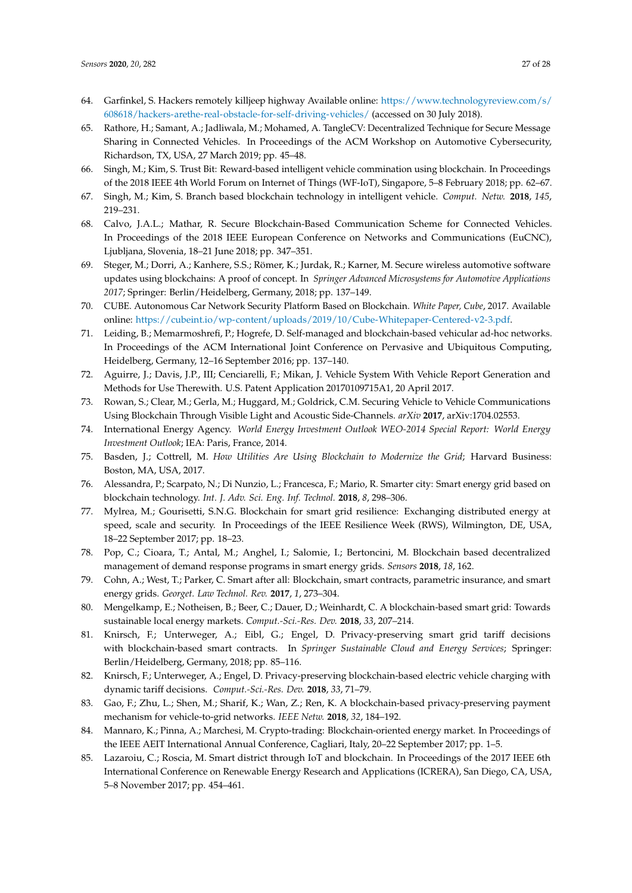- <span id="page-26-0"></span>64. Garfinkel, S. Hackers remotely killjeep highway Available online: [https://www.technologyreview.com/s/](https://www.technologyreview.com/s/608618/hackers-arethe-real-obstacle-for- self-driving-vehicles/) [608618/hackers-arethe-real-obstacle-for-self-driving-vehicles/](https://www.technologyreview.com/s/608618/hackers-arethe-real-obstacle-for- self-driving-vehicles/) (accessed on 30 July 2018).
- <span id="page-26-1"></span>65. Rathore, H.; Samant, A.; Jadliwala, M.; Mohamed, A. TangleCV: Decentralized Technique for Secure Message Sharing in Connected Vehicles. In Proceedings of the ACM Workshop on Automotive Cybersecurity, Richardson, TX, USA, 27 March 2019; pp. 45–48.
- <span id="page-26-2"></span>66. Singh, M.; Kim, S. Trust Bit: Reward-based intelligent vehicle commination using blockchain. In Proceedings of the 2018 IEEE 4th World Forum on Internet of Things (WF-IoT), Singapore, 5–8 February 2018; pp. 62–67.
- <span id="page-26-3"></span>67. Singh, M.; Kim, S. Branch based blockchain technology in intelligent vehicle. *Comput. Netw.* **2018**, *145*, 219–231.
- <span id="page-26-4"></span>68. Calvo, J.A.L.; Mathar, R. Secure Blockchain-Based Communication Scheme for Connected Vehicles. In Proceedings of the 2018 IEEE European Conference on Networks and Communications (EuCNC), Ljubljana, Slovenia, 18–21 June 2018; pp. 347–351.
- <span id="page-26-5"></span>69. Steger, M.; Dorri, A.; Kanhere, S.S.; Römer, K.; Jurdak, R.; Karner, M. Secure wireless automotive software updates using blockchains: A proof of concept. In *Springer Advanced Microsystems for Automotive Applications 2017*; Springer: Berlin/Heidelberg, Germany, 2018; pp. 137–149.
- <span id="page-26-6"></span>70. CUBE. Autonomous Car Network Security Platform Based on Blockchain. *White Paper, Cube*, 2017. Available online: [https://cubeint.io/wp-content/uploads/2019/10/Cube-Whitepaper-Centered-v2-3.pdf.](https://cubeint.io/wp-content/uploads/2019/10/Cube-Whitepaper-Centered-v2-3.pdf)
- <span id="page-26-7"></span>71. Leiding, B.; Memarmoshrefi, P.; Hogrefe, D. Self-managed and blockchain-based vehicular ad-hoc networks. In Proceedings of the ACM International Joint Conference on Pervasive and Ubiquitous Computing, Heidelberg, Germany, 12–16 September 2016; pp. 137–140.
- <span id="page-26-8"></span>72. Aguirre, J.; Davis, J.P., III; Cenciarelli, F.; Mikan, J. Vehicle System With Vehicle Report Generation and Methods for Use Therewith. U.S. Patent Application 20170109715A1, 20 April 2017.
- <span id="page-26-9"></span>73. Rowan, S.; Clear, M.; Gerla, M.; Huggard, M.; Goldrick, C.M. Securing Vehicle to Vehicle Communications Using Blockchain Through Visible Light and Acoustic Side-Channels. *arXiv* **2017**, arXiv:1704.02553.
- <span id="page-26-10"></span>74. International Energy Agency. *World Energy Investment Outlook WEO-2014 Special Report: World Energy Investment Outlook*; IEA: Paris, France, 2014.
- <span id="page-26-11"></span>75. Basden, J.; Cottrell, M. *How Utilities Are Using Blockchain to Modernize the Grid*; Harvard Business: Boston, MA, USA, 2017.
- <span id="page-26-12"></span>76. Alessandra, P.; Scarpato, N.; Di Nunzio, L.; Francesca, F.; Mario, R. Smarter city: Smart energy grid based on blockchain technology. *Int. J. Adv. Sci. Eng. Inf. Technol.* **2018**, *8*, 298–306.
- <span id="page-26-13"></span>77. Mylrea, M.; Gourisetti, S.N.G. Blockchain for smart grid resilience: Exchanging distributed energy at speed, scale and security. In Proceedings of the IEEE Resilience Week (RWS), Wilmington, DE, USA, 18–22 September 2017; pp. 18–23.
- <span id="page-26-14"></span>78. Pop, C.; Cioara, T.; Antal, M.; Anghel, I.; Salomie, I.; Bertoncini, M. Blockchain based decentralized management of demand response programs in smart energy grids. *Sensors* **2018**, *18*, 162.
- <span id="page-26-15"></span>79. Cohn, A.; West, T.; Parker, C. Smart after all: Blockchain, smart contracts, parametric insurance, and smart energy grids. *Georget. Law Technol. Rev.* **2017**, *1*, 273–304.
- <span id="page-26-16"></span>80. Mengelkamp, E.; Notheisen, B.; Beer, C.; Dauer, D.; Weinhardt, C. A blockchain-based smart grid: Towards sustainable local energy markets. *Comput.-Sci.-Res. Dev.* **2018**, *33*, 207–214.
- <span id="page-26-17"></span>81. Knirsch, F.; Unterweger, A.; Eibl, G.; Engel, D. Privacy-preserving smart grid tariff decisions with blockchain-based smart contracts. In *Springer Sustainable Cloud and Energy Services*; Springer: Berlin/Heidelberg, Germany, 2018; pp. 85–116.
- <span id="page-26-18"></span>82. Knirsch, F.; Unterweger, A.; Engel, D. Privacy-preserving blockchain-based electric vehicle charging with dynamic tariff decisions. *Comput.-Sci.-Res. Dev.* **2018**, *33*, 71–79.
- <span id="page-26-19"></span>83. Gao, F.; Zhu, L.; Shen, M.; Sharif, K.; Wan, Z.; Ren, K. A blockchain-based privacy-preserving payment mechanism for vehicle-to-grid networks. *IEEE Netw.* **2018**, *32*, 184–192.
- <span id="page-26-20"></span>84. Mannaro, K.; Pinna, A.; Marchesi, M. Crypto-trading: Blockchain-oriented energy market. In Proceedings of the IEEE AEIT International Annual Conference, Cagliari, Italy, 20–22 September 2017; pp. 1–5.
- <span id="page-26-21"></span>85. Lazaroiu, C.; Roscia, M. Smart district through IoT and blockchain. In Proceedings of the 2017 IEEE 6th International Conference on Renewable Energy Research and Applications (ICRERA), San Diego, CA, USA, 5–8 November 2017; pp. 454–461.